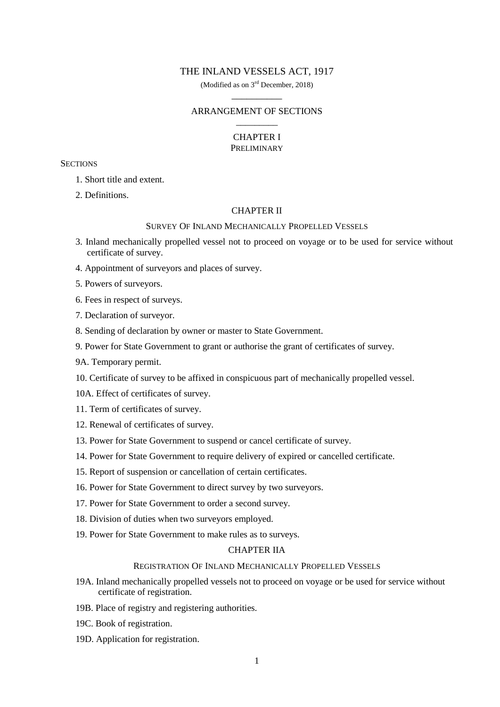### THE INLAND VESSELS ACT, 1917

(Modified as on 3rd December, 2018)  $\overline{\phantom{a}}$  ,  $\overline{\phantom{a}}$  ,  $\overline{\phantom{a}}$  ,  $\overline{\phantom{a}}$  ,  $\overline{\phantom{a}}$  ,  $\overline{\phantom{a}}$  ,  $\overline{\phantom{a}}$  ,  $\overline{\phantom{a}}$  ,  $\overline{\phantom{a}}$  ,  $\overline{\phantom{a}}$  ,  $\overline{\phantom{a}}$  ,  $\overline{\phantom{a}}$  ,  $\overline{\phantom{a}}$  ,  $\overline{\phantom{a}}$  ,  $\overline{\phantom{a}}$  ,  $\overline{\phantom{a}}$ 

# ARRANGEMENT OF SECTIONS \_\_\_\_\_\_\_\_\_

#### CHAPTER I PRELIMINARY

### **SECTIONS**

- 1. Short title and extent.
- 2. Definitions.

## CHAPTER II

#### SURVEY OF INLAND MECHANICALLY PROPELLED VESSELS

- 3. Inland mechanically propelled vessel not to proceed on voyage or to be used for service without certificate of survey.
- 4. Appointment of surveyors and places of survey.
- 5. Powers of surveyors.
- 6. Fees in respect of surveys.
- 7. Declaration of surveyor.
- 8. Sending of declaration by owner or master to State Government.
- 9. Power for State Government to grant or authorise the grant of certificates of survey.
- 9A. Temporary permit.
- 10. Certificate of survey to be affixed in conspicuous part of mechanically propelled vessel.
- 10A. Effect of certificates of survey.
- 11. Term of certificates of survey.
- 12. Renewal of certificates of survey.
- 13. Power for State Government to suspend or cancel certificate of survey.
- 14. Power for State Government to require delivery of expired or cancelled certificate.
- 15. Report of suspension or cancellation of certain certificates.
- 16. Power for State Government to direct survey by two surveyors.
- 17. Power for State Government to order a second survey.
- 18. Division of duties when two surveyors employed.
- 19. Power for State Government to make rules as to surveys.

# CHAPTER IIA

#### REGISTRATION OF INLAND MECHANICALLY PROPELLED VESSELS

- 19A. Inland mechanically propelled vessels not to proceed on voyage or be used for service without certificate of registration.
- 19B. Place of registry and registering authorities.
- 19C. Book of registration.
- 19D. Application for registration.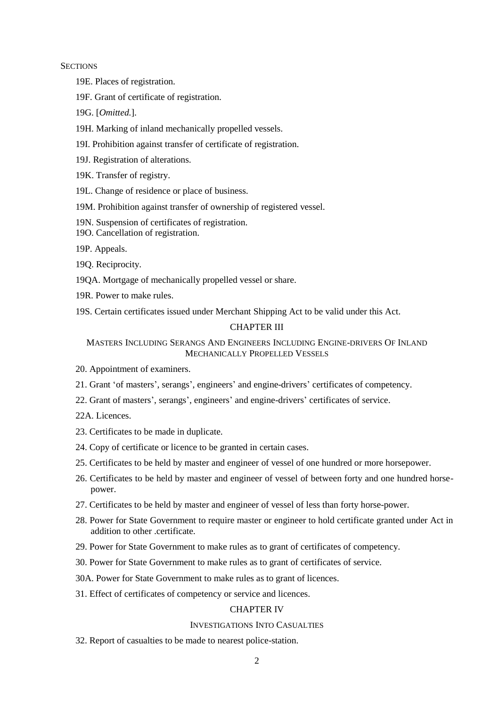#### **SECTIONS**

- 19E. Places of registration.
- 19F. Grant of certificate of registration.
- 19G. [*Omitted.*].
- 19H. Marking of inland mechanically propelled vessels.
- 19I. Prohibition against transfer of certificate of registration.
- 19J. Registration of alterations.
- 19K. Transfer of registry.
- 19L. Change of residence or place of business.
- 19M. Prohibition against transfer of ownership of registered vessel.
- 19N. Suspension of certificates of registration.
- 19O. Cancellation of registration.
- 19P. Appeals.
- 19Q. Reciprocity.
- 19QA. Mortgage of mechanically propelled vessel or share.
- 19R. Power to make rules.
- 19S. Certain certificates issued under Merchant Shipping Act to be valid under this Act.

# CHAPTER III

# MASTERS INCLUDING SERANGS AND ENGINEERS INCLUDING ENGINE-DRIVERS OF INLAND MECHANICALLY PROPELLED VESSELS

- 20. Appointment of examiners.
- 21. Grant "of masters", serangs", engineers" and engine-drivers" certificates of competency.
- 22. Grant of masters", serangs", engineers" and engine-drivers" certificates of service.
- 22A. Licences.
- 23. Certificates to be made in duplicate.
- 24. Copy of certificate or licence to be granted in certain cases.
- 25. Certificates to be held by master and engineer of vessel of one hundred or more horsepower.
- 26. Certificates to be held by master and engineer of vessel of between forty and one hundred horsepower.
- 27. Certificates to be held by master and engineer of vessel of less than forty horse-power.
- 28. Power for State Government to require master or engineer to hold certificate granted under Act in addition to other .certificate.
- 29. Power for State Government to make rules as to grant of certificates of competency.
- 30. Power for State Government to make rules as to grant of certificates of service.
- 30A. Power for State Government to make rules as to grant of licences.
- 31. Effect of certificates of competency or service and licences.

#### CHAPTER IV

# INVESTIGATIONS INTO CASUALTIES

32. Report of casualties to be made to nearest police-station.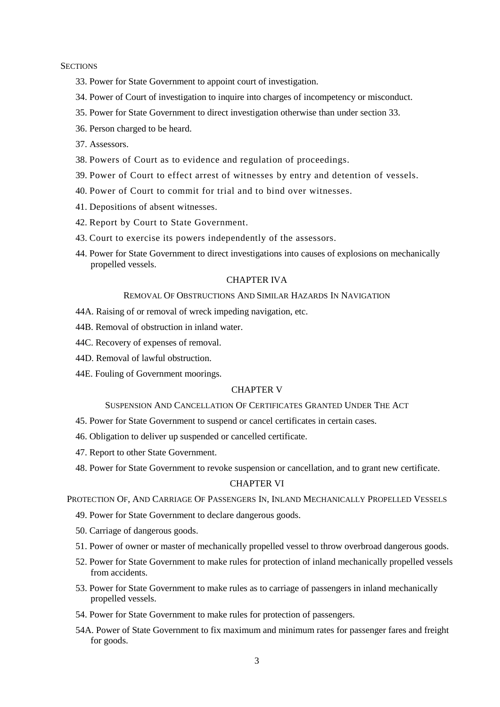#### **SECTIONS**

- 33. Power for State Government to appoint court of investigation.
- 34. Power of Court of investigation to inquire into charges of incompetency or misconduct.
- 35. Power for State Government to direct investigation otherwise than under section 33.
- 36. Person charged to be heard.
- 37. Assessors.
- 38. Powers of Court as to evidence and regulation of proceedings.
- 39. Power of Court to effect arrest of witnesses by entry and detention of vessels.
- 40. Power of Court to commit for trial and to bind over witnesses.
- 41. Depositions of absent witnesses.
- 42. Report by Court to State Government.
- 43. Court to exercise its powers independently of the assessors.
- 44. Power for State Government to direct investigations into causes of explosions on mechanically propelled vessels.

### CHAPTER IVA

# REMOVAL OF OBSTRUCTIONS AND SIMILAR HAZARDS IN NAVIGATION

- 44A. Raising of or removal of wreck impeding navigation, etc.
- 44B. Removal of obstruction in inland water.
- 44C. Recovery of expenses of removal.
- 44D. Removal of lawful obstruction.
- 44E. Fouling of Government moorings.

# CHAPTER V

#### SUSPENSION AND CANCELLATION OF CERTIFICATES GRANTED UNDER THE ACT

- 45. Power for State Government to suspend or cancel certificates in certain cases.
- 46. Obligation to deliver up suspended or cancelled certificate.
- 47. Report to other State Government.
- 48. Power for State Government to revoke suspension or cancellation, and to grant new certificate.

### CHAPTER VI

PROTECTION OF, AND CARRIAGE OF PASSENGERS IN, INLAND MECHANICALLY PROPELLED VESSELS

- 49. Power for State Government to declare dangerous goods.
- 50. Carriage of dangerous goods.
- 51. Power of owner or master of mechanically propelled vessel to throw overbroad dangerous goods.
- 52. Power for State Government to make rules for protection of inland mechanically propelled vessels from accidents.
- 53. Power for State Government to make rules as to carriage of passengers in inland mechanically propelled vessels.
- 54. Power for State Government to make rules for protection of passengers.
- 54A. Power of State Government to fix maximum and minimum rates for passenger fares and freight for goods.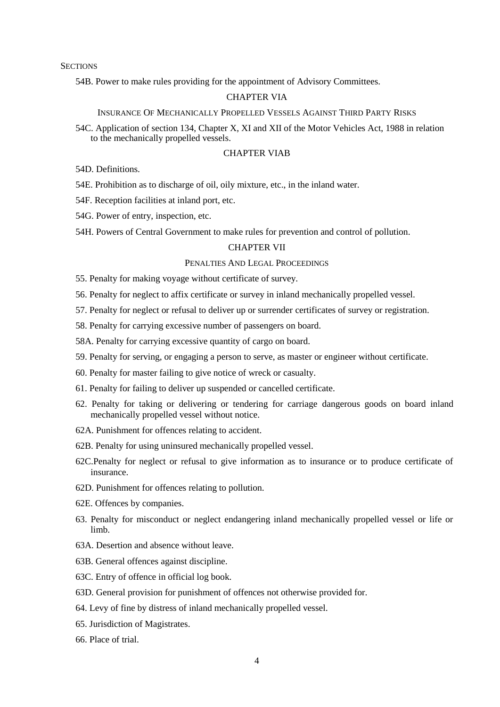**SECTIONS** 

54B. Power to make rules providing for the appointment of Advisory Committees.

### CHAPTER VIA

#### INSURANCE OF MECHANICALLY PROPELLED VESSELS AGAINST THIRD PARTY RISKS

54C. Application of section 134, Chapter X, XI and XII of the Motor Vehicles Act, 1988 in relation to the mechanically propelled vessels.

## CHAPTER VIAB

54D. Definitions.

- 54E. Prohibition as to discharge of oil, oily mixture, etc., in the inland water.
- 54F. Reception facilities at inland port, etc.
- 54G. Power of entry, inspection, etc.
- 54H. Powers of Central Government to make rules for prevention and control of pollution.

### CHAPTER VII

### PENALTIES AND LEGAL PROCEEDINGS

55. Penalty for making voyage without certificate of survey.

- 56. Penalty for neglect to affix certificate or survey in inland mechanically propelled vessel.
- 57. Penalty for neglect or refusal to deliver up or surrender certificates of survey or registration.
- 58. Penalty for carrying excessive number of passengers on board.
- 58A. Penalty for carrying excessive quantity of cargo on board.
- 59. Penalty for serving, or engaging a person to serve, as master or engineer without certificate.
- 60. Penalty for master failing to give notice of wreck or casualty.
- 61. Penalty for failing to deliver up suspended or cancelled certificate.
- 62. Penalty for taking or delivering or tendering for carriage dangerous goods on board inland mechanically propelled vessel without notice.
- 62A. Punishment for offences relating to accident.
- 62B. Penalty for using uninsured mechanically propelled vessel.
- 62C.Penalty for neglect or refusal to give information as to insurance or to produce certificate of insurance.
- 62D. Punishment for offences relating to pollution.
- 62E. Offences by companies.
- 63. Penalty for misconduct or neglect endangering inland mechanically propelled vessel or life or limb.
- 63A. Desertion and absence without leave.
- 63B. General offences against discipline.
- 63C. Entry of offence in official log book.
- 63D. General provision for punishment of offences not otherwise provided for.
- 64. Levy of fine by distress of inland mechanically propelled vessel.
- 65. Jurisdiction of Magistrates.
- 66. Place of trial.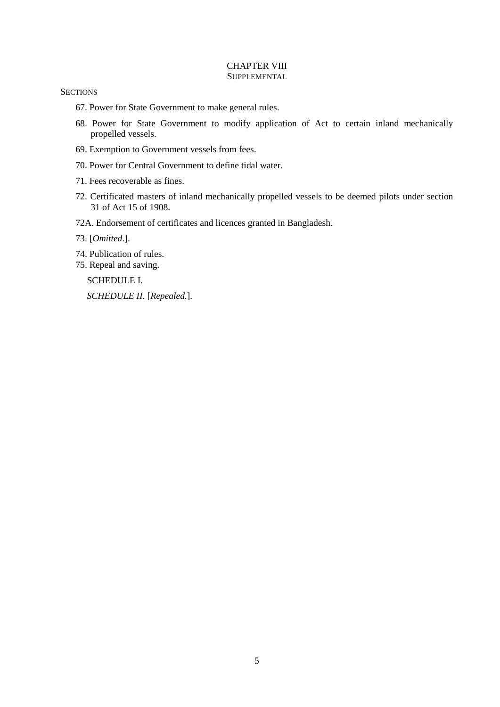### CHAPTER VIII **SUPPLEMENTAL**

#### **SECTIONS**

- 67. Power for State Government to make general rules.
- 68. Power for State Government to modify application of Act to certain inland mechanically propelled vessels.
- 69. Exemption to Government vessels from fees.
- 70. Power for Central Government to define tidal water.
- 71. Fees recoverable as fines.
- 72. Certificated masters of inland mechanically propelled vessels to be deemed pilots under section 31 of Act 15 of 1908.
- 72A. Endorsement of certificates and licences granted in Bangladesh.
- 73. [*Omitted*.].
- 74. Publication of rules.
- 75. Repeal and saving.

SCHEDULE I.

*SCHEDULE II.* [*Repealed.*].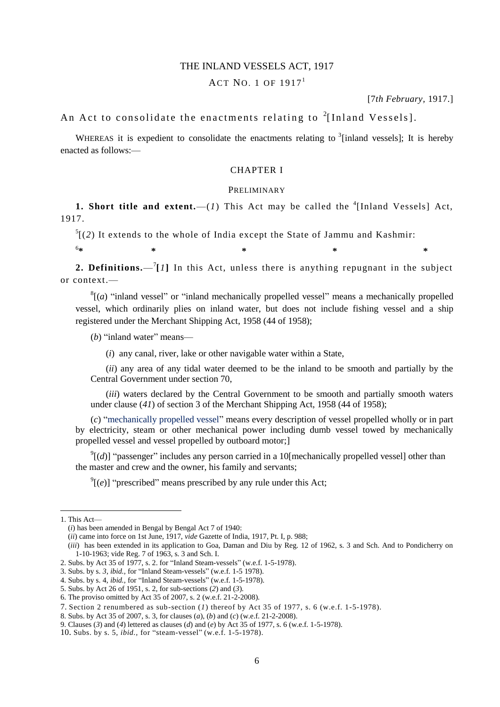### THE INLAND VESSELS ACT, 1917

# ACT NO. 1 OF  $1917<sup>1</sup>$

[7*th February,* 1917.]

# An Act to consolidate the enactments relating to  $^{2}$ [Inland Vessels].

WHEREAS it is expedient to consolidate the enactments relating to  $3$  [inland vessels]; It is hereby enacted as follows:—

### CHAPTER I

#### PRELIMINARY

**1. Short title and extent.**  $-(1)$  This Act may be called the <sup>4</sup>[Inland Vessels] Act, 1917.

 $<sup>5</sup>$ [(2) It extends to the whole of India except the State of Jammu and Kashmir:</sup>

**\* \* \* \* \***

**2. Definitions.**  $-\binom{7}{1}$  In this Act, unless there is anything repugnant in the subject or context.—

 $<sup>8</sup>$ [(*a*) "inland vessel" or "inland mechanically propelled vessel" means a mechanically propelled</sup> vessel, which ordinarily plies on inland water, but does not include fishing vessel and a ship registered under the Merchant Shipping Act, 1958 (44 of 1958);

(*b*) "inland water" means—

(*i*) any canal, river, lake or other navigable water within a State,

(*ii*) any area of any tidal water deemed to be the inland to be smooth and partially by the Central Government under section 70,

(*iii*) waters declared by the Central Government to be smooth and partially smooth waters under clause (*41*) of section 3 of the Merchant Shipping Act, 1958 (44 of 1958);

(*c*) "mechanically propelled vessel" means every description of vessel propelled wholly or in part by electricity, steam or other mechanical power including dumb vessel towed by mechanically propelled vessel and vessel propelled by outboard motor;]

 $\mathcal{O}[(d)]$  "passenger" includes any person carried in a 10[mechanically propelled vessel] other than the master and crew and the owner, his family and servants;

 $\mathcal{P}$ [(*e*)] "prescribed" means prescribed by any rule under this Act;

1

<sup>1.</sup> This Act—

<sup>(</sup>*i*) has been amended in Bengal by Bengal Act 7 of 1940:

<sup>(</sup>*ii*) came into force on 1st June, 1917, *vide* Gazette of India, 1917, Pt. I, p. 988;

<sup>(</sup>*iii*) has been extended in its application to Goa, Daman and Diu by Reg. 12 of 1962, s. 3 and Sch. And to Pondicherry on 1-10-1963; vide Reg. 7 of 1963, s. 3 and Sch. I.

<sup>2.</sup> Subs. by Act 35 of 1977, s. 2. for "Inland Steam-vessels" (w.e.f. 1-5-1978).

<sup>3.</sup> Subs. by s. *3, ibid.,* for "Inland Steam-vessels" (w.e.f. 1-5 1978).

<sup>4.</sup> Subs. by s. 4, *ibid.,* for "Inland Steam-vessels" (w.e.f. 1-5-1978).

<sup>5.</sup> Subs. by Act 26 of 1951, s. 2, for sub-sections (*2*) and (*3*).

<sup>6.</sup> The proviso omitted by Act 35 of 2007, s. 2 (w.e.f. 21-2-2008).

<sup>7.</sup> Section 2 renumbered as sub-section (*1*) thereof by Act 35 of 1977, s. 6 (w.e.f. 1-5-1978).

<sup>8.</sup> Subs. by Act 35 of 2007, s. 3, for clauses (*a*), (*b*) and (*c*) (w.e.f. 21-2-2008).

<sup>9.</sup> Clauses (*3*) and (*4*) lettered as clauses (*d*) and (*e*) by Act 35 of 1977, s. 6 (w.e.f. 1-5-1978).

<sup>10</sup>. Subs. by s. 5, *ibid.,* for "steam-vessel" (w.e.f. 1-5-1978).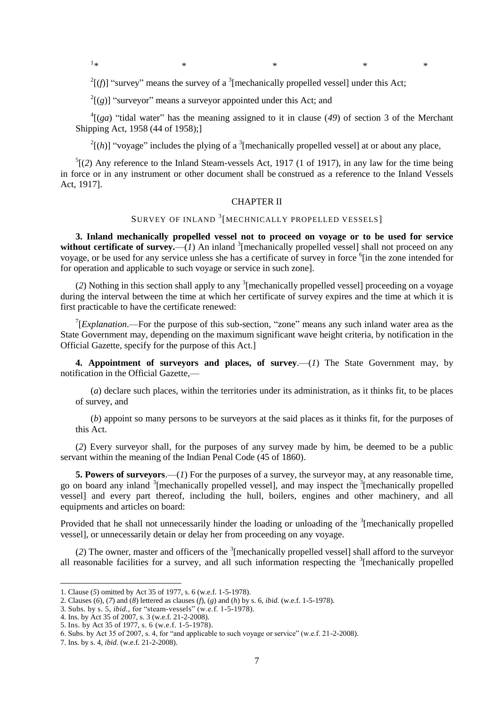$1*$ 

*\* \* \** \* \*

 $2^{2}$ [(f)] "survey" means the survey of a <sup>3</sup>[mechanically propelled vessel] under this Act;

 $2\left[\left(g\right)\right]$  "surveyor" means a surveyor appointed under this Act; and

 $^{4}$ [(*ga*) "tidal water" has the meaning assigned to it in clause (49) of section 3 of the Merchant Shipping Act, 1958 (44 of 1958);]

 $^{2}$ [(h)] "voyage" includes the plying of a <sup>3</sup>[mechanically propelled vessel] at or about any place,

 $<sup>5</sup>$ [(2) Any reference to the Inland Steam-vessels Act, 1917 (1 of 1917), in any law for the time being</sup> in force or in any instrument or other document shall be construed as a reference to the Inland Vessels Act, 1917].

### CHAPTER II

# SURVEY OF INLAND <sup>3</sup>[MECHNICALLY PROPELLED VESSELS]

**3. Inland mechanically propelled vessel not to proceed on voyage or to be used for service**  without certificate of survey.— $(I)$  An inland <sup>3</sup>[mechanically propelled vessel] shall not proceed on any voyage, or be used for any service unless she has a certificate of survey in force <sup>6</sup>[in the zone intended for for operation and applicable to such voyage or service in such zone].

 $(2)$  Nothing in this section shall apply to any <sup>3</sup> [mechanically propelled vessel] proceeding on a voyage during the interval between the time at which her certificate of survey expires and the time at which it is first practicable to have the certificate renewed:

<sup>7</sup>[*Explanation*.—For the purpose of this sub-section, "zone" means any such inland water area as the State Government may, depending on the maximum significant wave height criteria, by notification in the Official Gazette, specify for the purpose of this Act.]

**4. Appointment of surveyors and places, of survey**.—(*1*) The State Government may, by notification in the Official Gazette,—

(*a*) declare such places, within the territories under its administration, as it thinks fit, to be places of survey, and

(*b*) appoint so many persons to be surveyors at the said places as it thinks fit, for the purposes of this Act.

(*2*) Every surveyor shall, for the purposes of any survey made by him, be deemed to be a public servant within the meaning of the Indian Penal Code (45 of 1860).

**5. Powers of surveyors**.—(*1*) For the purposes of a survey, the surveyor may, at any reasonable time, go on board any inland <sup>3</sup>[mechanically propelled vessel], and may inspect the <sup>3</sup>[mechanically propelled vessel] and every part thereof, including the hull, boilers, engines and other machinery, and all equipments and articles on board:

Provided that he shall not unnecessarily hinder the loading or unloading of the <sup>3</sup>[mechanically propelled vessel], or unnecessarily detain or delay her from proceeding on any voyage.

(2) The owner, master and officers of the  $3$ [mechanically propelled vessel] shall afford to the surveyor all reasonable facilities for a survey, and all such information respecting the <sup>3</sup>[mechanically propelled

<sup>1.</sup> Clause (*5*) omitted by Act 35 of 1977, s. 6 (w.e.f. 1-5-1978).

<sup>2.</sup> Clauses (*6*), (*7*) and (*8*) lettered as clauses (*f*), (*g*) and (*h*) by s. 6, *ibid*. (w.e.f. 1-5-1978).

<sup>3.</sup> Subs. by s. 5, *ibid.,* for "steam-vessels" (w.e.f. 1-5-1978).

<sup>4.</sup> Ins. by Act 35 of 2007, s. 3 (w.e.f. 21-2-2008).

<sup>5.</sup> Ins. by Act 35 of 1977, s. 6 (w.e.f. 1-5-1978).

<sup>6.</sup> Subs. by Act 35 of 2007, s. 4, for "and applicable to such voyage or service" (w.e.f. 21-2-2008).

<sup>7.</sup> Ins. by s. 4, *ibid*. (w.e.f. 21-2-2008).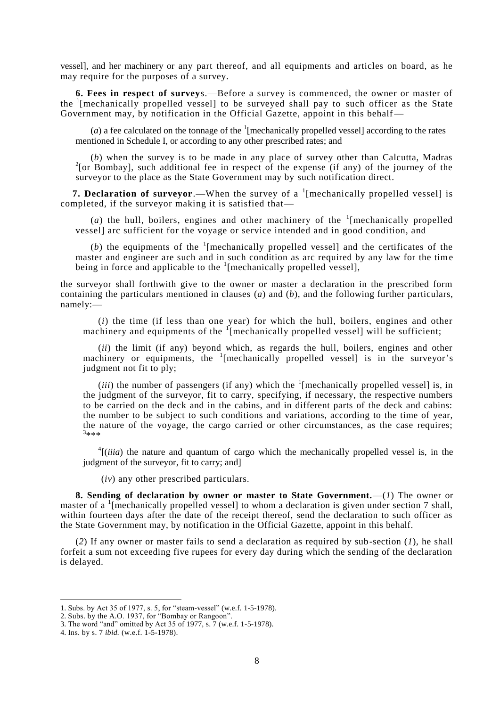vessel], and her machinery or any part thereof, and all equipments and articles on board, as he may require for the purposes of a survey.

**6. Fees in respect of survey**s.—Before a survey is commenced, the owner or master of the <sup>1</sup>[mechanically propelled vessel] to be surveyed shall pay to such officer as the State Government may, by notification in the Official Gazette, appoint in this behalf—

(*a*) a fee calculated on the tonnage of the  $\frac{1}{2}$  [mechanically propelled vessel] according to the rates mentioned in Schedule I, or according to any other prescribed rates; and

(*b*) when the survey is to be made in any place of survey other than Calcutta, Madras <sup>2</sup>[or Bombay], such additional fee in respect of the expense (if any) of the journey of the surveyor to the place as the State Government may by such notification direct.

**7. Declaration of surveyor.**—When the survey of a <sup>1</sup>[mechanically propelled vessel] is completed, if the surveyor making it is satisfied that—

(a) the hull, boilers, engines and other machinery of the  $\frac{1}{2}$  [mechanically propelled vessel] arc sufficient for the voyage or service intended and in good condition, and

(b) the equipments of the  $(1)$ <sup>1</sup> [mechanically propelled vessel] and the certificates of the master and engineer are such and in such condition as arc required by any law for the time being in force and applicable to the  $\frac{1}{2}$  [mechanically propelled vessel],

the surveyor shall forthwith give to the owner or master a declaration in the prescribed form containing the particulars mentioned in clauses (*a*) and (*b*), and the following further particulars, namely:—

(*i*) the time (if less than one year) for which the hull, boilers, engines and other machinery and equipments of the <sup>1</sup>[mechanically propelled vessel] will be sufficient;

(*ii*) the limit (if any) beyond which, as regards the hull, boilers, engines and other machinery or equipments, the <sup>1</sup>[mechanically propelled vessel] is in the surveyor's judgment not fit to ply;

(*iii*) the number of passengers (if any) which the  $\frac{1}{2}$  [mechanically propelled vessel] is, in the judgment of the surveyor, fit to carry, specifying, if necessary, the respective numbers to be carried on the deck and in the cabins, and in different parts of the deck and cabins: the number to be subject to such conditions and variations, according to the time of year, the nature of the voyage, the cargo carried or other circumstances, as the case requires; 3 \*\*\*

 $<sup>4</sup>$ [*(iiia*) the nature and quantum of cargo which the mechanically propelled vessel is, in the</sup> judgment of the surveyor, fit to carry; and]

(*iv*) any other prescribed particulars.

**8. Sending of declaration by owner or master to State Government.**—(*1*) The owner or master of a <sup>1</sup> [mechanically propelled vessel] to whom a declaration is given under section 7 shall, within fourteen days after the date of the receipt thereof, send the declaration to such officer as the State Government may, by notification in the Official Gazette, appoint in this behalf.

(*2*) If any owner or master fails to send a declaration as required by sub-section (*1*), he shall forfeit a sum not exceeding five rupees for every day during which the sending of the declaration is delayed.

<sup>1.</sup> Subs. by Act 35 of 1977, s. 5, for "steam-vessel" (w.e.f. 1-5-1978).

<sup>2.</sup> Subs. by the A.O. 1937, for "Bombay or Rangoon".

<sup>3.</sup> The word "and" omitted by Act 35 of 1977, s. 7 (w.e.f. 1-5-1978).

<sup>4.</sup> Ins. by s. 7 *ibid.* (w.e.f. 1-5-1978).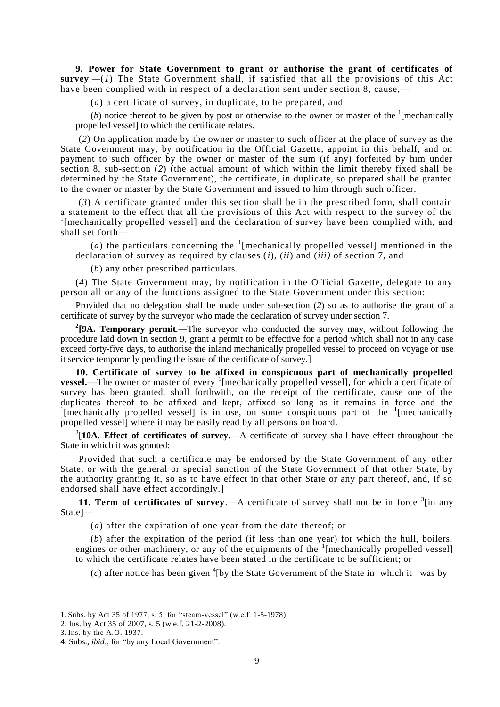**9. Power for State Government to grant or authorise the grant of certificates of survey.**—(*1*) The State Government shall, if satisfied that all the provisions of this Act have been complied with in respect of a declaration sent under section 8, cause,—

(*a*) a certificate of survey, in duplicate, to be prepared, and

(b) notice thereof to be given by post or otherwise to the owner or master of the  $\frac{1}{2}$  [mechanically propelled vessel] to which the certificate relates.

(*2*) On application made by the owner or master to such officer at the place of survey as the State Government may, by notification in the Official Gazette, appoint in this behalf, and on payment to such officer by the owner or master of the sum (if any) forfeited by him under section 8, sub-section (*2*) (the actual amount of which within the limit thereby fixed shall be determined by the State Government), the certificate, in duplicate, so prepared shall be granted to the owner or master by the State Government and issued to him through such officer.

(*3*) A certificate granted under this section shall be in the prescribed form, shall contain a statement to the effect that all the provisions of this Act with respect to the survey of the <sup>1</sup>[mechanically propelled vessel] and the declaration of survey have been complied with, and shall set forth—

(*a*) the particulars concerning the  $\frac{1}{2}$  [mechanically propelled vessel] mentioned in the declaration of survey as required by clauses (*i*), (*ii*) and (*iii)* of section 7, and

(*b*) any other prescribed particulars.

(*4*) The State Government may, by notification in the Official Gazette, delegate to any person all or any of the functions assigned to the State Government under this section:

Provided that no delegation shall be made under sub-section (*2*) so as to authorise the grant of a certificate of survey by the surveyor who made the declaration of survey under section 7.

**2 [9A. Temporary permit***.—*The surveyor who conducted the survey may, without following the procedure laid down in section 9, grant a permit to be effective for a period which shall not in any case exceed forty-five days, to authorise the inland mechanically propelled vessel to proceed on voyage or use it service temporarily pending the issue of the certificate of survey.]

**10. Certificate of survey to be affixed in conspicuous part of mechanically propelled vessel.**—The owner or master of every <sup>1</sup>[mechanically propelled vessel], for which a certificate of survey has been granted, shall forthwith, on the receipt of the certificate, cause one of the duplicates thereof to be affixed and kept, affixed so long as it remains in force and the <sup>1</sup>[mechanically propelled vessel] is in use, on some conspicuous part of the <sup>1</sup>[mechanically propelled vessel] where it may be easily read by all persons on board.

<sup>3</sup>[10A. Effect of certificates of survey.—A certificate of survey shall have effect throughout the State in which it was granted:

Provided that such a certificate may be endorsed by the State Government of any other State, or with the general or special sanction of the State Government of that other State, by the authority granting it, so as to have effect in that other State or any part thereof, and, if so endorsed shall have effect accordingly.]

**11. Term of certificates of survey.**—A certificate of survey shall not be in force  $\frac{3}{1}$  in any State]—

(*a*) after the expiration of one year from the date thereof; or

(*b*) after the expiration of the period (if less than one year) for which the hull, boilers, engines or other machinery, or any of the equipments of the  $1$ [mechanically propelled vessel] to which the certificate relates have been stated in the certificate to be sufficient; or

 $(c)$  after notice has been given <sup>4</sup>[by the State Government of the State in which it was by

<sup>1.</sup> Subs. by Act 35 of 1977, s. 5, for "steam-vessel" (w.e.f. 1-5-1978).

<sup>2.</sup> Ins. by Act 35 of 2007, s. 5 (w.e.f. 21-2-2008).

<sup>3.</sup> Ins. by the A.O. 1937.

<sup>4.</sup> Subs., *ibid*., for "by any Local Government".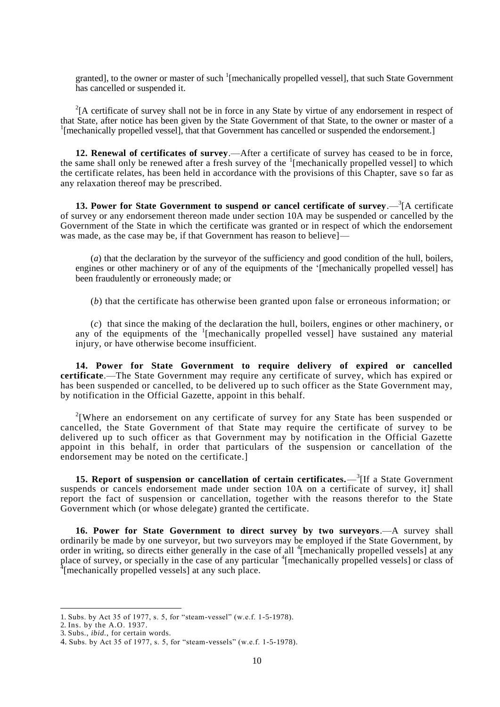granted], to the owner or master of such <sup>1</sup>[mechanically propelled vessel], that such State Government has cancelled or suspended it.

 $2^{2}$ [A certificate of survey shall not be in force in any State by virtue of any endorsement in respect of that State, after notice has been given by the State Government of that State, to the owner or master of a <sup>1</sup>[mechanically propelled vessel], that that Government has cancelled or suspended the endorsement.]

**12. Renewal of certificates of survey**.—After a certificate of survey has ceased to be in force, the same shall only be renewed after a fresh survey of the <sup>1</sup>[mechanically propelled vessel] to which the certificate relates, has been held in accordance with the provisions of this Chapter, save s o far as any relaxation thereof may be prescribed.

**13. Power for State Government to suspend or cancel certificate of survey.**  $-\frac{3}{7}$ [A certificate of survey or any endorsement thereon made under section 10A may be suspended or cancelled by the Government of the State in which the certificate was granted or in respect of which the endorsement was made, as the case may be, if that Government has reason to believel—

(*a*) that the declaration by the surveyor of the sufficiency and good condition of the hull, boilers, engines or other machinery or of any of the equipments of the "[mechanically propelled vessel] has been fraudulently or erroneously made; or

(*b*) that the certificate has otherwise been granted upon false or erroneous information; or

(*c*) that since the making of the declaration the hull, boilers, engines or other machinery, or any of the equipments of the <sup>1</sup>[mechanically propelled vessel] have sustained any material injury, or have otherwise become insufficient.

**14. Power for State Government to require delivery of expired or cancelled certificate**.—The State Government may require any certificate of survey, which has expired or has been suspended or cancelled, to be delivered up to such officer as the State Government may, by notification in the Official Gazette, appoint in this behalf.

<sup>2</sup>[Where an endorsement on any certificate of survey for any State has been suspended or cancelled, the State Government of that State may require the certificate of survey to be delivered up to such officer as that Government may by notification in the Official Gazette appoint in this behalf, in order that particulars of the suspension or cancellation of the endorsement may be noted on the certificate.]

**15. Report of suspension or cancellation of certain certificates.**—<sup>3</sup>[If a State Government suspends or cancels endorsement made under section 10A on a certificate of survey, it] shall report the fact of suspension or cancellation, together with the reasons therefor to the State Government which (or whose delegate) granted the certificate.

**16. Power for State Government to direct survey by two surveyors**.—A survey shall ordinarily be made by one surveyor, but two surveyors may be employed if the State Government, by order in writing, so directs either generally in the case of all <sup>4</sup> [mechanically propelled vessels] at any place of survey, or specially in the case of any particular <sup>4</sup> [mechanically propelled vessels] or class of <sup>4</sup> [mechanically propelled vessels] or class of

<sup>1.</sup> Subs. by Act 35 of 1977, s. 5, for "steam-vessel" (w.e.f. 1-5-1978).

<sup>2.</sup> Ins. by the A.O. 1937.

<sup>3.</sup> Subs., *ibid.,* for certain words.

<sup>4.</sup> Subs. by Act 35 of 1977, s. 5, for "steam-vessels" (w.e.f. 1-5-1978).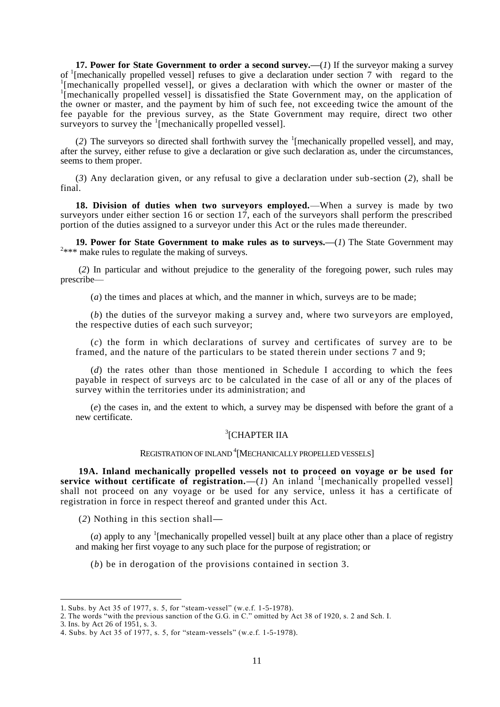**17. Power for State Government to order a second survey.—**(*1*) If the surveyor making a survey of <sup>1</sup>[mechanically propelled vessel] refuses to give a declaration under section 7 with regard to the <sup>1</sup>[mechanically propelled vessel] or gives a declaration with which the cursor or meeter of the [mechanically propelled vessel], or gives a declaration with which the owner or master of the <sup>1</sup>[mechanically propelled vessel] is dissatisfied the State Government may, on the application of the owner or master, and the payment by him of such fee, not exceeding twice the amount of the fee payable for the previous survey, as the State Government may require, direct two other surveyors to survey the <sup>1</sup>[mechanically propelled vessel].

(2) The surveyors so directed shall forthwith survey the  $\frac{1}{2}$  [mechanically propelled vessel], and may, after the survey, either refuse to give a declaration or give such declaration as, under the circumstances, seems to them proper.

(*3*) Any declaration given, or any refusal to give a declaration under sub-section (*2*), shall be final.

**18. Division of duties when two surveyors employed.**—When a survey is made by two surveyors under either section 16 or section 17, each of the surveyors shall perform the prescribed portion of the duties assigned to a surveyor under this Act or the rules made thereunder.

**19. Power for State Government to make rules as to surveys.—**(*1*) The State Government may  $2***$  make rules to regulate the making of surveys.

(*2*) In particular and without prejudice to the generality of the foregoing power, such rules may prescribe—

(*a*) the times and places at which, and the manner in which, surveys are to be made;

(*b*) the duties of the surveyor making a survey and, where two surveyors are employed, the respective duties of each such surveyor;

(*c*) the form in which declarations of survey and certificates of survey are to be framed, and the nature of the particulars to be stated therein under sections 7 and 9;

(*d*) the rates other than those mentioned in Schedule I according to which the fees payable in respect of surveys arc to be calculated in the case of all or any of the places of survey within the territories under its administration; and

(*e*) the cases in, and the extent to which, a survey may be dispensed with before the grant of a new certificate.

# 3 [CHAPTER IIA

# REGISTRATION OF INLAND<sup>4</sup> [MECHANICALLY PROPELLED VESSELS]

**19A. Inland mechanically propelled vessels not to proceed on voyage or be used for**  service without certificate of registration.— $(I)$  An inland <sup>1</sup>[mechanically propelled vessel] shall not proceed on any voyage or be used for any service, unless it has a certificate of registration in force in respect thereof and granted under this Act.

(*2*) Nothing in this section shall**—**

(*a*) apply to any <sup>1</sup> [mechanically propelled vessel] built at any place other than a place of registry and making her first voyage to any such place for the purpose of registration; or

(*b*) be in derogation of the provisions contained in section 3.

<sup>1.</sup> Subs. by Act 35 of 1977, s. 5, for "steam-vessel" (w.e.f. 1-5-1978).

<sup>2.</sup> The words "with the previous sanction of the G.G. in C." omitted by Act 38 of 1920, s. 2 and Sch. I.

<sup>3.</sup> Ins. by Act 26 of 1951, s. 3.

<sup>4.</sup> Subs. by Act 35 of 1977, s. 5, for "steam-vessels" (w.e.f. 1-5-1978).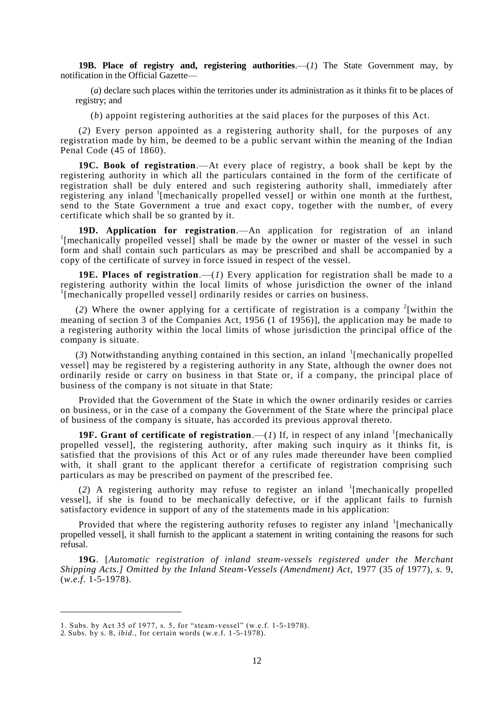**19B. Place of registry and, registering authorities**.—(*1*) The State Government may, by notification in the Official Gazette—

(*a*) declare such places within the territories under its administration as it thinks fit to be places of registry; and

(*b*) appoint registering authorities at the said places for the purposes of this Act.

(*2*) Every person appointed as a registering authority shall, for the purposes of any registration made by him, be deemed to be a public servant within the meaning of the Indian Penal Code (45 of 1860).

**19C. Book of registration**.—At every place of registry, a book shall be kept by the registering authority in which all the particulars contained in the form of the certificate of registration shall be duly entered and such registering authority shall, immediately after registering any inland <sup>1</sup>[mechanically propelled vessel] or within one month at the furthest, send to the State Government a true and exact copy, together with the number, of every certificate which shall be so granted by it.

**19D. Application for registration**.—An application for registration of an inland <sup>1</sup>[mechanically propelled vessel] shall be made by the owner or master of the vessel in such form and shall contain such particulars as may be prescribed and shall be accompanied by a copy of the certificate of survey in force issued in respect of the vessel.

**19E. Places of registration**.—(*1*) Every application for registration shall be made to a registering authority within the local limits of whose jurisdiction the owner of the inland <sup>1</sup>[mechanically propelled vessel] ordinarily resides or carries on business.

(2) Where the owner applying for a certificate of registration is a company  $2$ [within the meaning of section 3 of the Companies Act, 1956 (1 of 1956)], the application may be made to a registering authority within the local limits of whose jurisdiction the principal office of the company is situate.

 $(3)$  Notwithstanding anything contained in this section, an inland <sup>1</sup>[mechanically propelled vessel] may be registered by a registering authority in any State, although the owner does not ordinarily reside or carry on business in that State or, if a company, the principal place of business of the company is not situate in that State:

Provided that the Government of the State in which the owner ordinarily resides or carries on business, or in the case of a company the Government of the State where the principal place of business of the company is situate, has accorded its previous approval thereto.

**19F. Grant of certificate of registration.**  $-(1)$  If, in respect of any inland <sup>1</sup>[mechanically propelled vessel], the registering authority, after making such in quiry as it thinks fit, is satisfied that the provisions of this Act or of any rules made thereunder have been complied with, it shall grant to the applicant therefor a certificate of registration comprising such particulars as may be prescribed on payment of the prescribed fee.

(2) A registering authority may refuse to register an inland  $\frac{1}{2}$  [mechanically propelled vessel], if she is found to be mechanically defective, or if the applicant fails to furnish satisfactory evidence in support of any of the statements made in his application:

Provided that where the registering authority refuses to register any inland <sup>1</sup>[mechanically propelled vessel], it shall furnish to the applicant a statement in writing containing the reasons for such refusal.

**19G**. [*Automatic registration of inland steam-vessels registered under the Merchant Shipping Acts.] Omitted by the Inland Steam-Vessels (Amendment) Act,* 1977 (35 *of* 1977), *s.* 9, (*w.e.f*. 1-5-1978).

<sup>1.</sup> Subs. by Act 35 of 1977, s. 5, for "steam-vessel" (w.e.f. 1-5-1978).

<sup>2.</sup> Subs. by s. 8, *ibid.,* for certain words (w.e.f. 1-5-1978).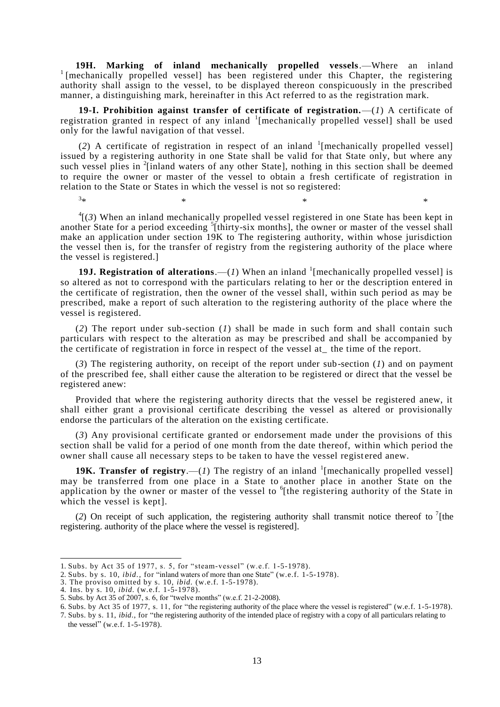**19H. Marking of inland mechanically propelled vessels.—Where an inland** I [mechanically propelled vessel] has been registered under this Chapter, the registering authority shall assign to the vessel, to be displayed thereon conspicuously in the prescribed manner, a distinguishing mark, hereinafter in this Act referred to as the registration mark.

**19-I. Prohibition against transfer of certificate of registration.**—(*1*) A certificate of registration granted in respect of any inland <sup>1</sup>[mechanically propelled vessel] shall be used only for the lawful navigation of that vessel.

(2) A certificate of registration in respect of an inland  $\frac{1}{2}$  [mechanically propelled vessel] issued by a registering authority in one State shall be valid for that State only, but where any such vessel plies in <sup>2</sup>[inland waters of any other State], nothing in this section shall be deemed to require the owner or master of the vessel to obtain a fresh certificate of registration in relation to the State or States in which the vessel is not so registered:

 $3<sub>+</sub>$  $*$   $*$   $*$   $*$   $*$   $*$   $*$   $*$ 

 ${}^{4}$ [(3) When an inland mechanically propelled vessel registered in one State has been kept in another State for a period exceeding <sup>5</sup>[thirty-six months], the owner or master of the vessel shall make an application under section 19K to The registering authority, within whose jurisdiction the vessel then is, for the transfer of registry from the registering authority of the place where the vessel is registered.]

**19J. Registration of alterations.**  $-(1)$  When an inland <sup>1</sup> [mechanically propelled vessel] is so altered as not to correspond with the particulars relating to her or the description entered in the certificate of registration, then the owner of the vessel shall, within such period as may be prescribed, make a report of such alteration to the registering authority of the place where the vessel is registered.

(*2*) The report under sub-section (*1*) shall be made in such form and shall contain such particulars with respect to the alteration as may be prescribed and shall be accompanied by the certificate of registration in force in respect of the vessel at\_ the time of the report.

(*3*) The registering authority, on receipt of the report under sub-section (*1*) and on payment of the prescribed fee, shall either cause the alteration to be registered or direct that the vessel be registered anew:

Provided that where the registering authority directs that the vessel be registered anew, it shall either grant a provisional certificate describing the vessel as altered or provisionally endorse the particulars of the alteration on the existing certificate.

(*3*) Any provisional certificate granted or endorsement made under the provisions of this section shall be valid for a period of one month from the date thereof, within which period the owner shall cause all necessary steps to be taken to have the vessel registered anew.

**19K. Transfer of registry.**  $\left(\frac{1}{1}\right)$  The registry of an inland <sup>1</sup> [mechanically propelled vessel] may be transferred from one place in a State to another place in another State on the application by the owner or master of the vessel to <sup>6</sup>[the registering authority of the State in which the vessel is kept].

(2) On receipt of such application, the registering authority shall transmit notice thereof to  $\frac{7}{1}$ [the registering. authority of the place where the vessel is registered].

<sup>1.</sup> Subs. by Act 35 of 1977, s. 5, for "steam-vessel" (w.e.f. 1-5-1978).

<sup>2.</sup> Subs. by s. 10, *ibid.,* for "inland waters of more than one State" (w.e.f. 1-5-1978).

<sup>3.</sup> The proviso omitted by s. 10, *ibid.* (w.e.f. 1-5-1978).

<sup>4.</sup> Ins. by s. 10, *ibid.* (w.e.f. 1-5-1978).

<sup>5.</sup> Subs. by Act 35 of 2007, s. 6, for "twelve months" (w.e.f. 21-2-2008).

<sup>6.</sup> Subs. by Act 35 of 1977, s. 11, for "the registering authority of the place where the vessel is registered" (w.e.f. 1-5-1978).

<sup>7.</sup> Subs. by s. 11, *ibid*., for "the registering authority of the intended place of registry with a copy of all particulars relating to the vessel" (w.e.f. 1-5-1978).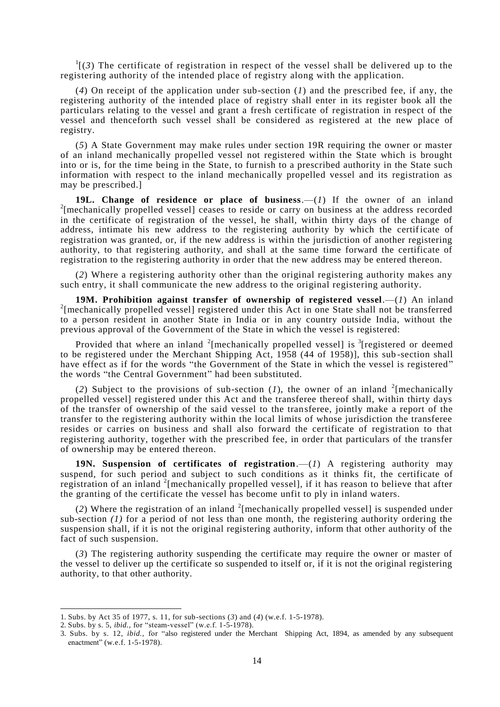$\frac{1}{3}$  The certificate of registration in respect of the vessel shall be delivered up to the registering authority of the intended place of registry along with the application.

(*4*) On receipt of the application under sub-section (*1*) and the prescribed fee, if any, the registering authority of the intended place of registry shall enter in its register book all the particulars relating to the vessel and grant a fresh certificate of registration in respect of the vessel and thenceforth such vessel shall be considered as registered at the new place of registry.

(*5*) A State Government may make rules under section 19R requiring the owner or master of an inland mechanically propelled vessel not registered within the State which is brought into or is, for the time being in the State, to furnish to a prescribed authority in the State such information with respect to the inland mechanically propelled vessel and its registration as may be prescribed.]

**19L. Change of residence or place of business**.—(*1*) If the owner of an inland <sup>2</sup>[mechanically propelled vessel] ceases to reside or carry on business at the address recorded in the certificate of registration of the vessel, he shall, within thirty days of the change of address, intimate his new address to the registering authority by which the certificate of registration was granted, or, if the new address is within the jurisdiction of another registering authority, to that registering authority, and shall at the same time forward the certificate of registration to the registering authority in order that the new address may be entered thereon.

(*2*) Where a registering authority other than the original registering authority makes any such entry, it shall communicate the new address to the original registering authority.

**19M. Prohibition against transfer of ownership of registered vessel**.—(*1*) An inland <sup>2</sup>[mechanically propelled vessel] registered under this Act in one State shall not be transferred to a person resident in another State in India or in any country outside India, without the previous approval of the Government of the State in which the vessel is registered:

Provided that where an inland  $2$ [mechanically propelled vessel] is  $3$ [registered or deemed to be registered under the Merchant Shipping Act, 1958 (44 of 1958)], this sub -section shall have effect as if for the words "the Government of the State in which the vessel is registered" the words "the Central Government" had been substituted.

(2) Subject to the provisions of sub-section  $(I)$ , the owner of an inland <sup>2</sup>[mechanically propelled vessel] registered under this Act and the transferee thereof shall, within thirty days of the transfer of ownership of the said vessel to the transferee, jointly make a report of the transfer to the registering authority within the local limits of whose jurisdiction the transferee resides or carries on business and shall also forward the certificate of registration to that registering authority, together with the prescribed fee, in order that particulars of the transfer of ownership may be entered thereon.

**19N. Suspension of certificates of registration**.—(*1*) A registering authority may suspend, for such period and subject to such conditions as it thinks fit, the certificate of registration of an inland <sup>2</sup>[mechanically propelled vessel], if it has reason to believe that after the granting of the certificate the vessel has become unfit to ply in inland waters.

(2) Where the registration of an inland  $2$ [mechanically propelled vessel] is suspended under sub-section *(1)* for a period of not less than one month, the registering authority ordering the suspension shall, if it is not the original registering authority, inform that other authority of the fact of such suspension.

(*3*) The registering authority suspending the certificate may require the owner or master of the vessel to deliver up the certificate so suspended to itself or, if it is not the original registering authority, to that other authority.

<sup>1.</sup> Subs. by Act 35 of 1977, s. 11, for sub-sections (*3*) and (*4*) (w.e.f. 1-5-1978).

<sup>2.</sup> Subs. by s. 5, *ibid.,* for "steam-vessel" (w.e.f. 1-5-1978).

<sup>3.</sup> Subs. by s. 12, *ibid.,* for "also registered under the Merchant Shipping Act, 1894, as amended by any subsequent enactment" (w.e.f. 1-5-1978).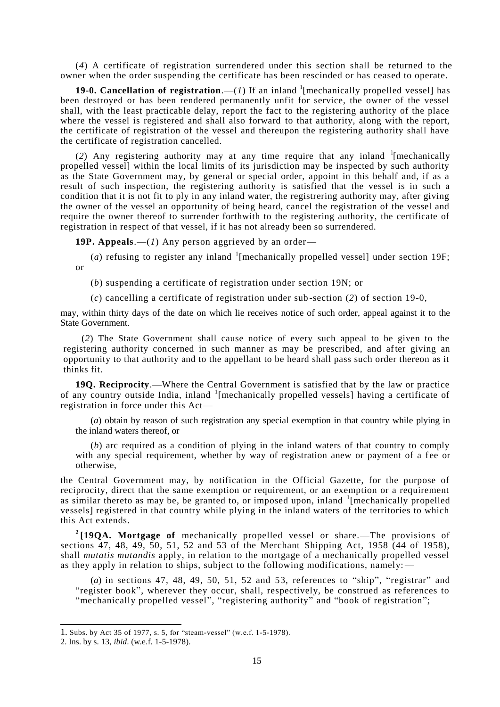(*4*) A certificate of registration surrendered under this section shall be returned to the owner when the order suspending the certificate has been rescinded or has ceased to operate.

**19-0. Cancellation of registration.**  $-(1)$  If an inland <sup>1</sup>[mechanically propelled vessel] has been destroyed or has been rendered permanently unfit for service, the owner of the vessel shall, with the least practicable delay, report the fact to the registering authority of the place where the vessel is registered and shall also forward to that authority, along with the report, the certificate of registration of the vessel and thereupon the registering authority shall have the certificate of registration cancelled.

(2) Any registering authority may at any time require that any inland <sup>1</sup>[mechanically propelled vessel] within the local limits of its jurisdiction may be inspected by such authority as the State Government may, by general or special order, appoint in this behalf and, if as a result of such inspection, the registering authority is satisfied that the vessel is in such a condition that it is not fit to ply in any inland water, the registrering authority may, after giving the owner of the vessel an opportunity of being heard, cancel the registration of the vessel and require the owner thereof to surrender forthwith to the registering authority, the certificate of registration in respect of that vessel, if it has not already been so surrendered.

**19P. Appeals**.—(*1*) Any person aggrieved by an order—

(*a*) refusing to register any inland  $\frac{1}{2}$  [mechanically propelled vessel] under section 19F; or

(*b*) suspending a certificate of registration under section 19N; or

(*c*) cancelling a certificate of registration under sub-section (*2*) of section 19-0,

may, within thirty days of the date on which lie receives notice of such order, appeal against it to the State Government.

(*2*) The State Government shall cause notice of every such appeal to be given to the registering authority concerned in such manner as may be prescribed, and after giving an opportunity to that authority and to the appellant to be heard shall pass such order thereon as it thinks fit.

**19Q. Reciprocity**.—Where the Central Government is satisfied that by the law or practice of any country outside India, inland <sup>1</sup>[mechanically propelled vessels] having a certificate of registration in force under this Act—

(*a*) obtain by reason of such registration any special exemption in that country while plying in the inland waters thereof, or

(*b*) arc required as a condition of plying in the inland waters of that country to comply with any special requirement, whether by way of registration anew or payment of a fee or otherwise,

the Central Government may, by notification in the Official Gazette, for the purpose of reciprocity, direct that the same exemption or requirement, or an exemption or a requirement as similar thereto as may be, be granted to, or imposed upon, inland <sup>1</sup>[mechanically propelled vessels] registered in that country while plying in the inland waters of the territories to which this Act extends.

**2 [19QA. Mortgage of** mechanically propelled vessel or share.—The provisions of sections 47, 48, 49, 50, 51, 52 and 53 of the Merchant Shipping Act, 1958 (44 of 1958), shall *mutatis mutandis* apply, in relation to the mortgage of a mechanically propelled vessel as they apply in relation to ships, subject to the following modifications, namely:—

(*a*) in sections 47, 48, 49, 50, 51, 52 and 53, references to "ship", "registrar" and "register book", wherever they occur, shall, respectively, be construed as references to "mechanically propelled vessel", "registering authority" and "book of registration";

<sup>1.</sup> Subs. by Act 35 of 1977, s. 5, for "steam-vessel" (w.e.f. 1-5-1978).

<sup>2.</sup> Ins. by s. 13, *ibid*. (w.e.f. 1-5-1978).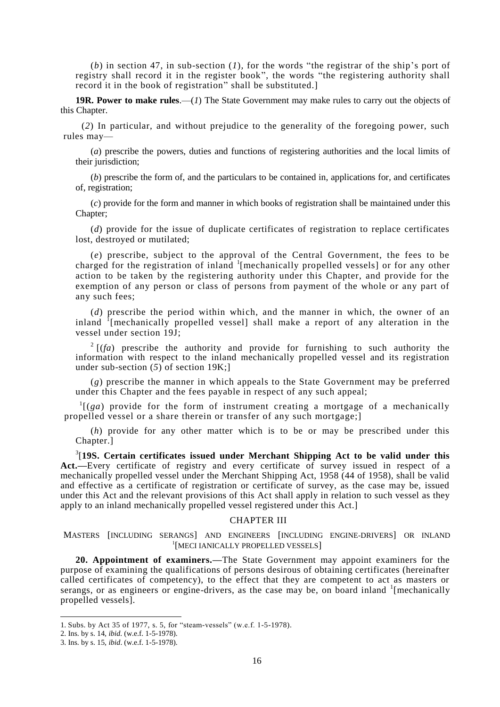(*b*) in section 47, in sub-section (*1*)*,* for the words "the registrar of the ship"s port of registry shall record it in the register book", the words "the registering authority shall record it in the book of registration" shall be substituted.]

**19R. Power to make rules**.—(*1*) The State Government may make rules to carry out the objects of this Chapter.

(*2*) In particular, and without prejudice to the generality of the foregoing power, such rules may—

(*a*) prescribe the powers, duties and functions of registering authorities and the local limits of their jurisdiction:

(*b*) prescribe the form of, and the particulars to be contained in, applications for, and certificates of, registration;

(*c*) provide for the form and manner in which books of registration shall be maintained under this Chapter;

(*d*) provide for the issue of duplicate certificates of registration to replace certificates lost, destroyed or mutilated;

(*e*) prescribe, subject to the approval of the Central Government, the fees to be charged for the registration of inland  $\frac{1}{2}$  [mechanically propelled vessels] or for any other action to be taken by the registering authority under this Chapter, and provide for the exemption of any person or class of persons from payment of the whole or any part of any such fees;

(*d*) prescribe the period within which, and the manner in which, the owner of an inland  $\hat{I}$ [mechanically propelled vessel] shall make a report of any alteration in the vessel under section 19J;

 $2 \left[ f(a) \right]$  prescribe the authority and provide for furnishing to such authority the information with respect to the inland mechanically propelled vessel and its registration under sub-section (*5*) of section 19K;]

(*g*) prescribe the manner in which appeals to the State Government may be preferred under this Chapter and the fees payable in respect of any such appeal;

 $\frac{1}{g}$  [(*ga*) provide for the form of instrument creating a mortgage of a mechanically propelled vessel or a share therein or transfer of any such mortgage;]

(*h*) provide for any other matter which is to be or may be prescribed under this Chapter.]

3 [**19S. Certain certificates issued under Merchant Shipping Act to be valid under this Act.—**Every certificate of registry and every certificate of survey issued in respect of a mechanically propelled vessel under the Merchant Shipping Act, 1958 (44 of 1958), shall be valid and effective as a certificate of registration or certificate of survey, as the case may be, issued under this Act and the relevant provisions of this Act shall apply in relation to such vessel as they apply to an inland mechanically propelled vessel registered under this Act.]

#### CHAPTER III

MASTERS [INCLUDING SERANGS] AND ENGINEERS [INCLUDING ENGINE-DRIVERS] OR INLAND 1 [MECI IANICALLY PROPELLED VESSELS]

**20. Appointment of examiners.—**The State Government may appoint examiners for the purpose of examining the qualifications of persons desirous of obtaining certificates (hereinafter called certificates of competency), to the effect that they are competent to act as masters or serangs, or as engineers or engine-drivers, as the case may be, on board inland  $\frac{1}{2}$  [mechanically propelled vessels].

<sup>1.</sup> Subs. by Act 35 of 1977, s. 5, for "steam-vessels" (w.e.f. 1-5-1978).

<sup>2.</sup> Ins. by s. 14, *ibid.* (w.e.f. 1-5-1978).

<sup>3.</sup> Ins. by s. 15, *ibid*. (w.e.f. 1-5-1978).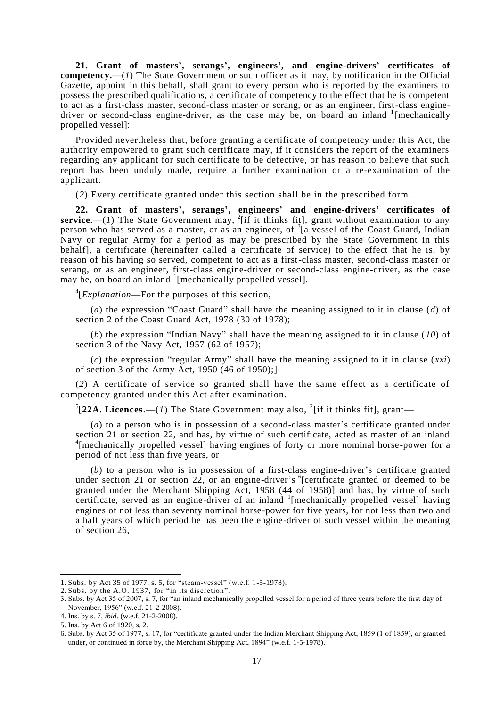**21. Grant of masters', serangs', engineers', and engine-drivers' certificates of competency.—**(*1*) The State Government or such officer as it may, by notification in the Official Gazette, appoint in this behalf, shall grant to every person who is reported by the examiners to possess the prescribed qualifications, a certificate of competency to the effect that he is competent to act as a first-class master, second-class master or scrang, or as an engineer, first-class enginedriver or second-class engine-driver, as the case may be, on board an inland  $\frac{1}{2}$  [mechanically propelled vessel]:

Provided nevertheless that, before granting a certificate of competency under this Act, the authority empowered to grant such certificate may, if it considers the report of the examiners regarding any applicant for such certificate to be defective, or has reason to believe that such report has been unduly made, require a further examination or a re-examination of the applicant.

(*2*) Every certificate granted under this section shall be in the prescribed form.

**22. Grant of masters', serangs', engineers' and engine-drivers' certificates of**  service.—(1) The State Government may, <sup>2</sup>[if it thinks fit], grant without examination to any person who has served as a master, or as an engineer, of <sup>3</sup>[a vessel of the Coast Guard, Indian Navy or regular Army for a period as may be prescribed by the State Government in this behalf], a certificate (hereinafter called a certificate of service) to the effect that he is, by reason of his having so served, competent to act as a first-class master, second-class master or serang, or as an engineer, first-class engine-driver or second-class engine-driver, as the case may be, on board an inland <sup>1</sup>[mechanically propelled vessel].

4 [*Explanation*—For the purposes of this section,

(*a*) the expression "Coast Guard" shall have the meaning assigned to it in clause (*d*) of section 2 of the Coast Guard Act, 1978 (30 of 1978);

(*b*) the expression "Indian Navy" shall have the meaning assigned to it in clause (*10*) of section 3 of the Navy Act, 1957 (62 of 1957);

(*c*) the expression "regular Army" shall have the meaning assigned to it in clause (*xxi*) of section 3 of the Army Act, 1950 (46 of 1950);]

(*2*) A certificate of service so granted shall have the same effect as a certificate of competency granted under this Act after examination.

 $^{5}[22A.$  Licences.—(1) The State Government may also, <sup>2</sup>[if it thinks fit], grant—

(*a*) to a person who is in possession of a second-class master"s certificate granted under section 21 or section 22, and has, by virtue of such certificate, acted as master of an inland <sup>4</sup>[mechanically propelled vessel] having engines of forty or more nominal horse-power for a period of not less than five years, or

(*b*) to a person who is in possession of a first-class engine-driver"s certificate granted under section 21 or section 22, or an engine-driver's  $^{6}$ [certificate granted or deemed to be granted under the Merchant Shipping Act, 1958 (44 of 1958)] and has, by virtue of such certificate, served as an engine-driver of an inland  $\frac{1}{2}$  [mechanically propelled vessel] having engines of not less than seventy nominal horse-power for five years, for not less than two and a half years of which period he has been the engine-driver of such vessel within the meaning of section 26,

<sup>1.</sup> Subs. by Act 35 of 1977, s. 5, for "steam-vessel" (w.e.f. 1-5-1978).

<sup>2.</sup> Subs. by the A.O. 1937, for "in its discretion".

<sup>3.</sup> Subs. by Act 35 of 2007, s. 7, for "an inland mechanically propelled vessel for a period of three years before the first day of November, 1956" (w.e.f. 21-2-2008).

<sup>4.</sup> Ins. by s. 7, *ibid*. (w.e.f. 21-2-2008).

<sup>5.</sup> Ins. by Act 6 of 1920, s. 2.

<sup>6.</sup> Subs. by Act 35 of 1977, s. 17, for "certificate granted under the Indian Merchant Shipping Act, 1859 (1 of 1859), or granted under, or continued in force by, the Merchant Shipping Act, 1894" (w.e.f. 1-5-1978).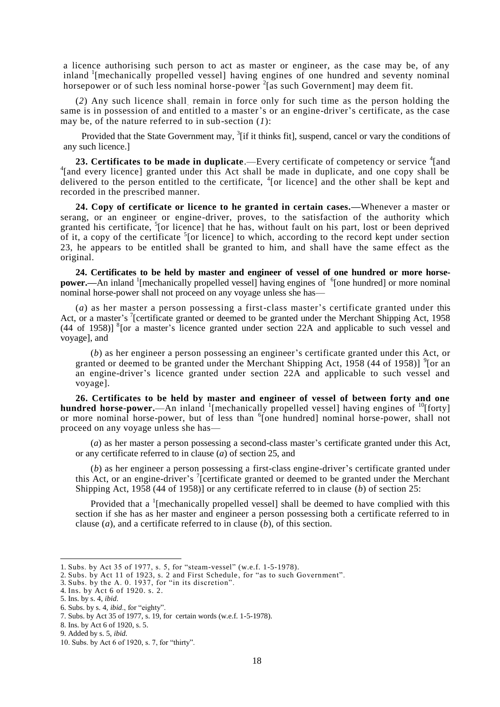a licence authorising such person to act as master or engineer, as the case may be, of any inland <sup>1</sup>[mechanically propelled vessel] having engines of one hundred and seventy nominal horsepower or of such less nominal horse-power  $2$ [as such Government] may deem fit.

(*2*) Any such licence shall. remain in force only for such time as the person holding the same is in possession of and entitled to a master"s or an engine-driver"s certificate, as the case may be, of the nature referred to in sub-section (*1*):

Provided that the State Government may, <sup>3</sup>[if it thinks fit], suspend, cancel or vary the conditions of any such licence.]

23. Certificates to be made in duplicate.—Every certificate of competency or service <sup>4</sup>[and <sup>4</sup>[and every licence] granted under this Act shall be made in duplicate, and one copy shall be delivered to the person entitled to the certificate, <sup>4</sup>[or licence] and the other shall be kept and recorded in the prescribed manner.

**24. Copy of certificate or licence to he granted in certain cases.—**Whenever a master or serang, or an engineer or engine-driver, proves, to the satisfaction of the authority which granted his certificate, <sup>5</sup>[or licence] that he has, without fault on his part, lost or been deprived of it, a copy of the certificate  $5$  [or licence] to which, according to the record kept under section 23, he appears to be entitled shall be granted to him, and shall have the same effect as the original.

**24. Certificates to be held by master and engineer of vessel of one hundred or more horsepower.**—An inland <sup>1</sup>[mechanically propelled vessel] having engines of <sup>6</sup>[one hundred] or more nominal nominal horse-power shall not proceed on any voyage unless she has—

(*a*) as her master a person possessing a first-class master"s certificate granted under this Act, or a master's <sup>7</sup>[certificate granted or deemed to be granted under the Merchant Shipping Act, 1958  $(44 \text{ of } 1958)$ ]  $^{8}$ [or a master's licence granted under section 22A and applicable to such vessel and voyage], and

(*b*) as her engineer a person possessing an engineer"s certificate granted under this Act, or granted or deemed to be granted under the Merchant Shipping Act, 1958 (44 of 1958)]  $^9$  [or an an engine-driver"s licence granted under section 22A and applicable to such vessel and voyage].

**26. Certificates to be held by master and engineer of vessel of between forty and one**  hundred horse-power.—An inland <sup>1</sup>[mechanically propelled vessel] having engines of <sup>10</sup>[forty] or more nominal horse-power, but of less than <sup>6</sup>[one hundred] nominal horse-power, shall not proceed on any voyage unless she has—

(*a*) as her master a person possessing a second-class master"s certificate granted under this Act, or any certificate referred to in clause (*a*) of section 25, and

(*b*) as her engineer a person possessing a first-class engine-driver"s certificate granted under this Act, or an engine-driver's  $\frac{7}{1}$  certificate granted or deemed to be granted under the Merchant Shipping Act, 1958 (44 of 1958)] or any certificate referred to in clause (*b*) of section 25:

Provided that a  $\frac{1}{2}$  [mechanically propelled vessel] shall be deemed to have complied with this section if she has as her master and engineer a person possessing both a certificate referred to in clause (*a*), and a certificate referred to in clause (*b*), of this section.

<sup>1.</sup> Subs. by Act 35 of 1977, s. 5, for "steam-vessel" (w.e.f. 1-5-1978).

<sup>2.</sup> Subs. by Act 11 of 1923, s. 2 and First Schedule, for "as to such Government".

<sup>3.</sup> Subs. by the A. 0. 1937, for "in its discretion".

<sup>4.</sup> Ins. by Act 6 of 1920. s. 2. 5. Ins. by s. 4, *ibid*.

<sup>6.</sup> Subs. by s. 4, *ibid*., for "eighty".

<sup>7.</sup> Subs. by Act 35 of 1977, s. 19, for certain words (w.e.f. 1-5-1978).

<sup>8.</sup> Ins. by Act 6 of 1920, s. 5.

<sup>9.</sup> Added by s. 5, *ibid.*

<sup>10.</sup> Subs. by Act 6 of 1920, s. 7, for "thirty".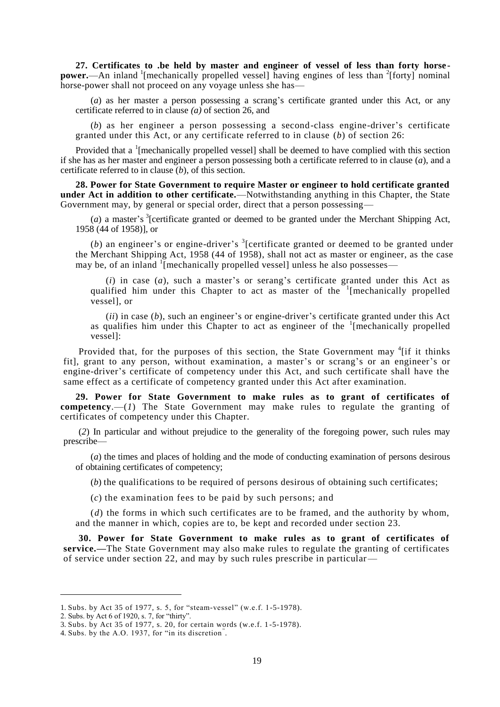**27. Certificates to .be held by master and engineer of vessel of less than forty horse power.**—An inland <sup>1</sup>[mechanically propelled vessel] having engines of less than <sup>2</sup>[forty] nominal horse-power shall not proceed on any voyage unless she has—

(*a*) as her master a person possessing a scrang's certificate granted under this Act, or any certificate referred to in clause *(a)* of section 26, and

(*b*) as her engineer a person possessing a second-class engine-driver's certificate granted under this Act, or any certificate referred to in clause (*b*) of section 26:

Provided that a <sup>1</sup>[mechanically propelled vessel] shall be deemed to have complied with this section if she has as her master and engineer a person possessing both a certificate referred to in clause (*a*), and a certificate referred to in clause (*b*), of this section.

**28. Power for State Government to require Master or engineer to hold certificate granted under Act in addition to other certificate.**—Notwithstanding anything in this Chapter, the State Government may, by general or special order, direct that a person possessing—

(*a*) a master's <sup>3</sup>[certificate granted or deemed to be granted under the Merchant Shipping Act, 1958 (44 of 1958)], or

(b) an engineer's or engine-driver's  $\frac{3}{2}$  [certificate granted or deemed to be granted under the Merchant Shipping Act, 1958 (44 of 1958), shall not act as master or engineer, as the case may be, of an inland <sup>1</sup>[mechanically propelled vessel] unless he also possesses—

 $(i)$  in case  $(a)$ , such a master's or serang's certificate granted under this Act as qualified him under this Chapter to act as master of the <sup>1</sup>[mechanically propelled vessel], or

 $(iii)$  in case  $(b)$ , such an engineer's or engine-driver's certificate granted under this Act as qualifies him under this Chapter to act as engineer of the  $1$ [mechanically propelled vessel]:

Provided that, for the purposes of this section, the State Government may <sup>4</sup> [if it thinks fit], grant to any person, without examination, a master's or scrang's or an engineer's or engine-driver"s certificate of competency under this Act, and such certificate shall have the same effect as a certificate of competency granted under this Act after examination.

**29. Power for State Government to make rules as to grant of certificates of competency**.—(*1*) The State Government may make rules to regulate the granting of certificates of competency under this Chapter.

(*2*) In particular and without prejudice to the generality of the foregoing power, such rules may prescribe—

(*a*) the times and places of holding and the mode of conducting examination of persons desirous of obtaining certificates of competency;

(*b*) the qualifications to be required of persons desirous of obtaining such certificates;

(*c*) the examination fees to be paid by such persons; and

(*d*) the forms in which such certificates are to be framed, and the authority by whom, and the manner in which, copies are to, be kept and recorded under section 23.

**30. Power for State Government to make rules as to grant of certificates of service.—**The State Government may also make rules to regulate the granting of certificates of service under section 22, and may by such rules prescribe in particular—

<sup>1.</sup> Subs. by Act 35 of 1977, s. 5, for "steam-vessel" (w.e.f. 1-5-1978).

<sup>2.</sup> Subs. by Act 6 of 1920, s. 7, for "thirty".

<sup>3.</sup> Subs. by Act 35 of 1977, s. 20, for certain words (w.e.f. 1 -5-1978).

<sup>4.</sup> Subs. by the A.O. 1937, for "in its discretion" .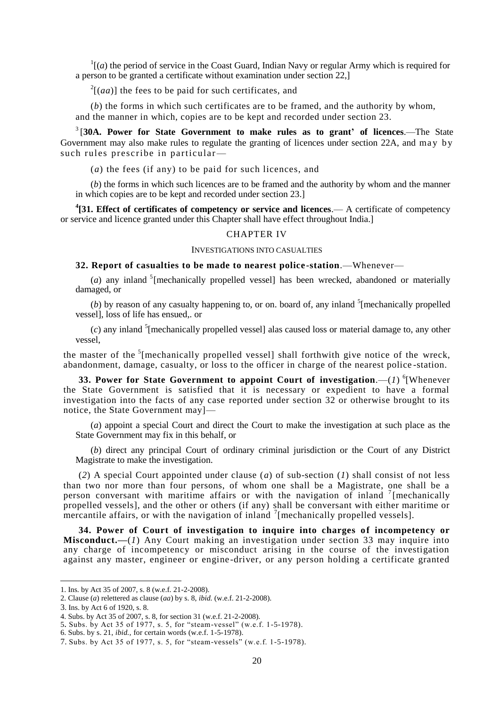$\Gamma$ [(*a*) the period of service in the Coast Guard, Indian Navy or regular Army which is required for a person to be granted a certificate without examination under section 22,]

 $2[(aa)]$  the fees to be paid for such certificates, and

(*b*) the forms in which such certificates are to be framed, and the authority by whom, and the manner in which, copies are to be kept and recorded under section 23.

3 [**30A. Power for State Government to make rules as to grant' of licences**.—The State Government may also make rules to regulate the granting of licences under section 22A, and may by such rules prescribe in particular—

(*a*) the fees (if any) to be paid for such licences, and

(*b*) the forms in which such licences are to be framed and the authority by whom and the manner in which copies are to be kept and recorded under section 23.]

<sup>4</sup>[31. Effect of certificates of competency or service and licences.— A certificate of competency or service and licence granted under this Chapter shall have effect throughout India.]

### CHAPTER IV

#### INVESTIGATIONS INTO CASUALTIES

**32. Report of casualties to be made to nearest police -station**.—Whenever—

( $a$ ) any inland <sup>5</sup> [mechanically propelled vessel] has been wrecked, abandoned or materially damaged, or

(b) by reason of any casualty happening to, or on. board of, any inland  $5$ [mechanically propelled vessel], loss of life has ensued,. or

 $(c)$  any inland <sup>5</sup>[mechanically propelled vessel] alas caused loss or material damage to, any other vessel,

the master of the  $5$ [mechanically propelled vessel] shall forthwith give notice of the wreck, abandonment, damage, casualty, or loss to the officer in charge of the nearest police -station.

**33. Power for State Government to appoint Court of investigation.—(1) <sup>6</sup>[Whenever** the State Government is satisfied that it is necessary or expedient to have a formal investigation into the facts of any case reported under section  $32$  or otherwise brought to its notice, the State Government may]—

(*a*) appoint a special Court and direct the Court to make the investigation at such place as the State Government may fix in this behalf, or

(*b*) direct any principal Court of ordinary criminal jurisdiction or the Court of any District Magistrate to make the investigation.

(*2*) A special Court appointed under clause (*a*) of sub-section (*1*) shall consist of not less than two nor more than four persons, of whom one shall be a Magistrate, one shall be a person conversant with maritime affairs or with the navigation of inland  $\frac{7}{1}$  [mechanically propelled vessels], and the other or others (if any) shall be conversant with either maritime or mercantile affairs, or with the navigation of inland  $\frac{7}{2}$  [mechanically propelled vessels].

**34. Power of Court of investigation to inquire into charges of incompetency or Misconduct.—**(*1*) Any Court making an investigation under section 33 may inquire into any charge of incompetency or misconduct arising in the course of the investigation against any master, engineer or engine -driver, or any person holding a certificate granted

<sup>1.</sup> Ins. by Act 35 of 2007, s. 8 (w.e.f. 21-2-2008).

<sup>2.</sup> Clause (*a*) relettered as clause (*aa*) by s. 8, *ibid.* (w.e.f. 21-2-2008).

<sup>3</sup>. Ins. by Act 6 of 1920, s. 8.

<sup>4.</sup> Subs. by Act 35 of 2007, s. 8, for section 31 (w.e.f. 21-2-2008).

<sup>5</sup>. Subs. by Act 35 of 1977, s. 5, for "steam-vessel" (w.e.f. 1-5-1978).

<sup>6.</sup> Subs. by s. 21, *ibid.,* for certain words (w.e.f. 1-5-1978).

<sup>7.</sup> Subs. by Act 35 of 1977, s. 5, for "steam-vessels" (w.e.f. 1-5-1978).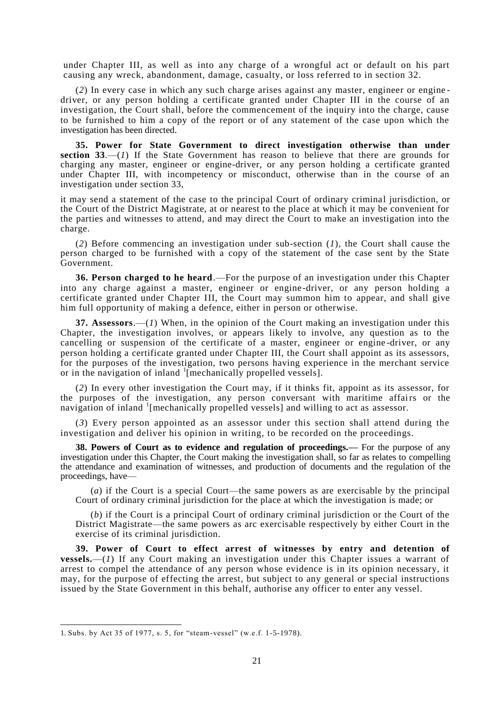under Chapter III, as well as into any charge of a wrongful act or default on his part causing any wreck, abandonment, damage, casualty, or loss referred to in section 32.

(2) In every case in which any such charge arises against any master, engineer or enginedriver, or any person holding a certificate granted under Chapter III in the course of an investigation, the Court shall, before the commencement of the inquiry into the charge, cause to be furnished to him a copy of the report or of any statement of the case upon which the investigation has been directed.

**35. Power for State Government to direct investigation otherwise than under section 33**.—(*1*) If the State Government has reason to believe that there are grounds for charging any master, engineer or engine-driver, or any person holding a certificate granted under Chapter III, with incompetency or misconduct, otherwise than in the course of an investigation under section 33,

it may send a statement of the case to the principal Court of ordinary criminal jurisdiction, or the Court of the District Magistrate, at or nearest to the place at which it may be convenient for the parties and witnesses to attend, and may direct the Court to make an investigation into the charge.

(*2*) Before commencing an investigation under sub-section (*1*), the Court shall cause the person charged to be furnished with a copy of the statement of the case sent by the State Government.

**36. Person charged to he heard**.—For the purpose of an investigation under this Chapter into any charge against a master, engineer or engine-driver, or any person holding a certificate granted under Chapter III, the Court may summon him to appear, and shall give him full opportunity of making a defence, either in person or otherwise.

**37. Assessors**.—(*1*) When, in the opinion of the Court making an investigation under this Chapter, the investigation involves, or appears likely to involve, any question as to the cancelling or suspension of the certificate of a master, engineer or engine-driver, or any person holding a certificate granted under Chapter III, the Court shall appoint as its assessors, for the purposes of the investigation, two persons having experience in the merchant service or in the navigation of inland <sup>1</sup>[mechanically propelled vessels].

(*2*) In every other investigation the Court may, if it thinks fit, appoint as its assessor, for the purposes of the investigation, any person conversant with maritime affairs or the navigation of inland <sup>1</sup>[mechanically propelled vessels] and willing to act as assessor.

(*3*) Every person appointed as an assessor under this section shall attend during the investigation and deliver his opinion in writing, to be recorded on the proceedings.

**38. Powers of Court as to evidence and regulation of proceedings.—** For the purpose of any investigation under this Chapter, the Court making the investigation shall, so far as relates to compelling the attendance and examination of witnesses, and production of documents and the regulation of the proceedings, have—

(*a*) if the Court is a special Court—the same powers as are exercisable by the principal Court of ordinary criminal jurisdiction for the place at which the investigation is made; or

(*b*) if the Court is a principal Court of ordinary criminal jurisdiction or the Court of the District Magistrate—the same powers as arc exercisable respectively by either Court in the exercise of its criminal jurisdiction.

**39. Power of Court to effect arrest of witnesses by entry and detention of vessels.**—(*1*) If any Court making an investigation under this Chapter issues a warrant of arrest to compel the attendance of any person whose evidence is in its opinion necessary, it may, for the purpose of effecting the arrest, but subject to any general or special instructions issued by the State Government in this behalf, authorise any officer to enter any vessel.

<sup>1.</sup> Subs. by Act 35 of 1977, s. 5, for "steam-vessel" (w.e.f. 1-5-1978).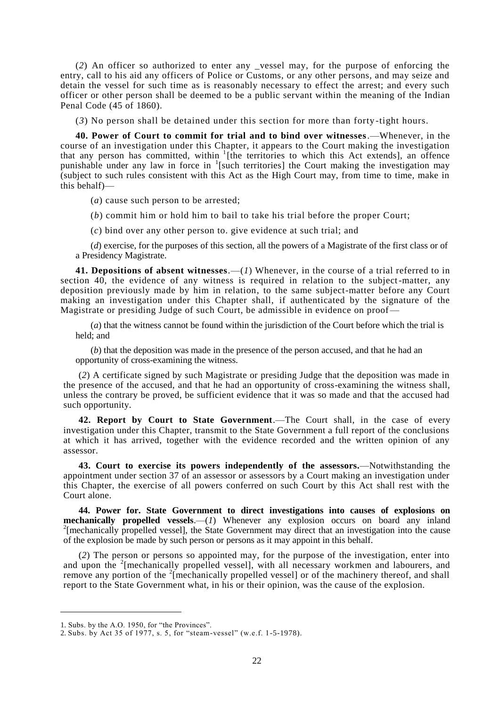(*2*) An officer so authorized to enter any \_vessel may, for the purpose of enforcing the entry, call to his aid any officers of Police or Customs, or any other persons, and may seize and detain the vessel for such time as is reasonably necessary to effect the arrest; and every such officer or other person shall be deemed to be a public servant within the meaning of the Indian Penal Code (45 of 1860).

(*3*) No person shall be detained under this section for more than forty -tight hours.

**40. Power of Court to commit for trial and to bind over witnesses**.—Whenever, in the course of an investigation under this Chapter, it appears to the Court making the investigation that any person has committed, within  $I$ <sup>1</sup>[the territories to which this Act extends], an offence punishable under any law in force in <sup>1</sup>[such territories] the Court making the investigation may (subject to such rules consistent with this Act as the High Court may, from time to time, make in this behalf)—

(*a*) cause such person to be arrested;

(*b*) commit him or hold him to bail to take his trial before the proper Court;

(*c*) bind over any other person to. give evidence at such trial; and

(*d*) exercise, for the purposes of this section, all the powers of a Magistrate of the first class or of a Presidency Magistrate.

**41. Depositions of absent witnesses**.—(*1*) Whenever, in the course of a trial referred to in section 40, the evidence of any witness is required in relation to the subject-matter, any deposition previously made by him in relation, to the same subject-matter before any Court making an investigation under this Chapter shall, if authenticated by the signature of the Magistrate or presiding Judge of such Court, be admissible in evidence on proof—

(*a*) that the witness cannot be found within the jurisdiction of the Court before which the trial is held; and

(*b*) that the deposition was made in the presence of the person accused, and that he had an opportunity of cross-examining the witness.

(*2*) A certificate signed by such Magistrate or presiding Judge that the deposition was made in the presence of the accused, and that he had an opportunity of cross-examining the witness shall, unless the contrary be proved, be sufficient evidence that it was so made and that the accused had such opportunity.

**42. Report by Court to State Government**.—The Court shall, in the case of every investigation under this Chapter, transmit to the State Government a full report of the conclusions at which it has arrived, together with the evidence recorded and the written opinion of any assessor.

**43. Court to exercise its powers independently of the assessors.**—Notwithstanding the appointment under section 37 of an assessor or assessors by a Court making an investigation under this Chapter, the exercise of all powers conferred on such Court by this Act shall rest with the Court alone.

**44. Power for. State Government to direct investigations into causes of explosions on mechanically propelled vessels**.—(*1*) Whenever any explosion occurs on board any inland <sup>2</sup>[mechanically propelled vessel], the State Government may direct that an investigation into the cause of the explosion be made by such person or persons as it may appoint in this behalf.

(*2*) The person or persons so appointed may, for the purpose of the investigation, enter into and upon the <sup>2</sup>[mechanically propelled vessel], with all necessary workmen and labourers, and remove any portion of the  $2$ [mechanically propelled vessel] or of the machinery thereof, and shall report to the State Government what, in his or their opinion, was the cause of the explosion.

<sup>1.</sup> Subs. by the A.O. 1950, for "the Provinces".

<sup>2.</sup> Subs. by Act 35 of 1977, s. 5, for "steam-vessel" (w.e.f. 1-5-1978).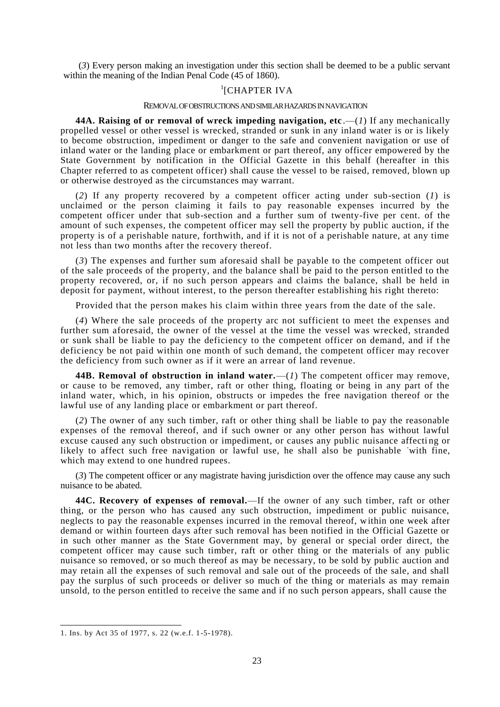(*3*) Every person making an investigation under this section shall be deemed to be a public servant within the meaning of the Indian Penal Code (45 of 1860).

# <sup>1</sup>[CHAPTER IVA

#### REMOVAL OF OBSTRUCTIONS AND SIMILAR HAZARDS IN NAVIGATION

**44A. Raising of or removal of wreck impeding navigation, etc.**  $-(1)$  If any mechanically propelled vessel or other vessel is wrecked, stranded or sunk in any inland water is or is likely to become obstruction, impediment or danger to the safe and convenient navigation or use of inland water or the landing place or embarkment or part thereof, any officer empowered by the State Government by notification in the Official Gazette in this behalf (hereafter in this Chapter referred to as competent officer) shall cause the vessel to be raised, removed, blown up or otherwise destroyed as the circumstances may warrant.

(*2*) If any property recovered by a competent officer acting under sub-section (*1*) is unclaimed or the person claiming it fails to pay reasonable expenses incurred by the competent officer under that sub-section and a further sum of twenty-five per cent. of the amount of such expenses, the competent officer may sell the property by public auction, if the property is of a perishable nature, forthwith, and if it is not of a perishable nature, at any time not less than two months after the recovery thereof.

(*3*) The expenses and further sum aforesaid shall be payable to the competent officer out of the sale proceeds of the property, and the balance shall be paid to the person entitled to the property recovered, or, if no such person appears and claims the balance, shall be held in deposit for payment, without interest, to the person thereafter establishing his right thereto:

Provided that the person makes his claim within three years from the date of the sale.

(*4*) Where the sale proceeds of the property arc not sufficient to meet the expenses and further sum aforesaid, the owner of the vessel at the time the vessel was wrecked, stranded or sunk shall be liable to pay the deficiency to the competent officer on demand, and if t he deficiency be not paid within one month of such demand, the competent officer may recover the deficiency from such owner as if it were an arrear of land revenue.

**44B. Removal of obstruction in inland water.**—(*1*) The competent officer may remove, or cause to be removed, any timber, raft or other thing, floating or being in any part of the inland water, which, in his opinion, obstructs or impedes the free navigation thereof or the lawful use of any landing place or embarkment or part thereof.

(*2*) The owner of any such timber, raft or other thing shall be liable to pay the reasonable expenses of the removal thereof, and if such owner or any other person has without lawful excuse caused any such obstruction or impediment, or causes any public nuisance affecti ng or likely to affect such free navigation or lawful use, he shall also be punishable with fine, which may extend to one hundred rupees.

(*3*) The competent officer or any magistrate having jurisdiction over the offence may cause any such nuisance to be abated.

**44C. Recovery of expenses of removal.**—If the owner of any such timber, raft or other thing, or the person who has caused any such obstruction, impediment or public nuisance, neglects to pay the reasonable expenses incurred in the removal thereof, within one week after demand or within fourteen days after such removal has been notified in the Official Gazette or in such other manner as the State Government may, by general or special order direct, the competent officer may cause such timber, raft or other thing or the materials of any public nuisance so removed, or so much thereof as may be necessary, to be sold by public auction and may retain all the expenses of such removal and sale out of the proceeds of the sale, and shall pay the surplus of such proceeds or deliver so much of the thing or materials as may remain unsold, to the person entitled to receive the same and if no such person appears, shall cause the

<sup>1.</sup> Ins. by Act 35 of 1977, s. 22 (w.e.f. 1-5-1978).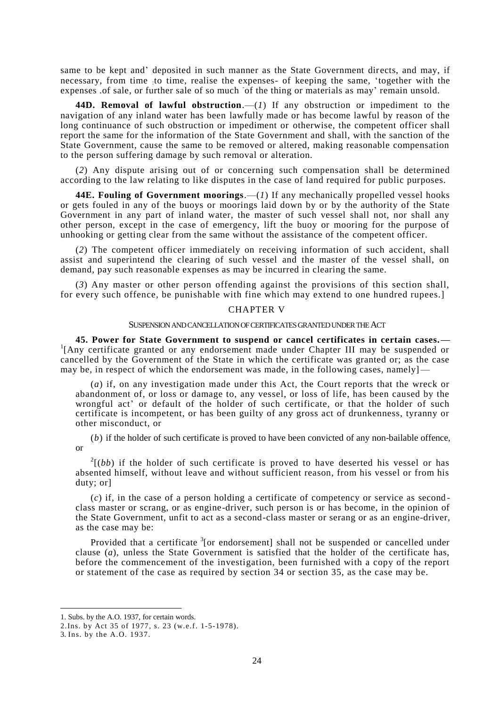same to be kept and" deposited in such manner as the State Government directs, and may, if necessary, from time : to time, realise the expenses- of keeping the same, "together with the expenses .of sale, or further sale of so much of the thing or materials as may' remain unsold.

**44D. Removal of lawful obstruction**.—(*1*) If any obstruction or impediment to the navigation of any inland water has been lawfully made or has become lawful by reason of the long continuance of such obstruction or impediment or otherwise, the competent officer shall report the same for the information of the State Government and shall, with the sanction of the State Government, cause the same to be removed or altered, making reasonable compensation to the person suffering damage by such removal or alteration.

(*2*) Any dispute arising out of or concerning such compensation shall be determined according to the law relating to like disputes in the case of land required for public purposes.

**44E. Fouling of Government moorings**.—(*1*) If any mechanically propelled vessel hooks or gets fouled in any of the buoys or moorings laid down by or by the authority of the State Government in any part of inland water, the master of such vessel shall not, nor shall any other person, except in the case of emergency, lift the buoy or mooring for the purpose of unhooking or getting clear from the same without the assistance of the competent officer.

(*2*) The competent officer immediately on receiving information of such accident, shall assist and superintend the clearing of such vessel and the master of the vessel shall, on demand, pay such reasonable expenses as may be incurred in clearing the same.

(*3*) Any master or other person offending against the provisions of this section shall, for every such offence, be punishable with fine which may extend to one hundred rupees.]

### CHAPTER V

#### SUSPENSION AND CANCELLATION OF CERTIFICATES GRANTED UNDER THE ACT

**45. Power for State Government to suspend or cancel certificates in certain cases.—** <sup>1</sup> <sup>1</sup>[Any certificate granted or any endorsement made under Chapter III may be suspended or cancelled by the Government of the State in which the certificate was granted or; as the case may be, in respect of which the endorsement was made, in the following cases, namely

(*a*) if, on any investigation made under this Act, the Court reports that the wreck or abandonment of, or loss or damage to, any vessel, or loss of life, has been caused by the wrongful act' or default of the holder of such certificate, or that the holder of such certificate is incompetent, or has been guilty of any gross act of drunkenness, tyranny or other misconduct, or

(*b*) if the holder of such certificate is proved to have been convicted of any non-bailable offence, or

 $2[(bb)$  if the holder of such certificate is proved to have deserted his vessel or has absented himself, without leave and without sufficient reason, from his vessel or from his duty; or]

(*c*) if, in the case of a person holding a certificate of competency or service as second class master or scrang, or as engine-driver, such person is or has become, in the opinion of the State Government, unfit to act as a second-class master or serang or as an engine-driver, as the case may be:

Provided that a certificate <sup>3</sup>[or endorsement] shall not be suspended or cancelled under clause (*a*), unless the State Government is satisfied that the holder of the certificate has, before the commencement of the investigation, been furnished with a copy of the report or statement of the case as required by section 34 or section 35, as the case may be.

<sup>1.</sup> Subs. by the A.O. 1937, for certain words.

<sup>2.</sup>Ins. by Act 35 of 1977, s. 23 (w.e.f. 1-5-1978).

<sup>3.</sup> Ins. by the A.O. 1937.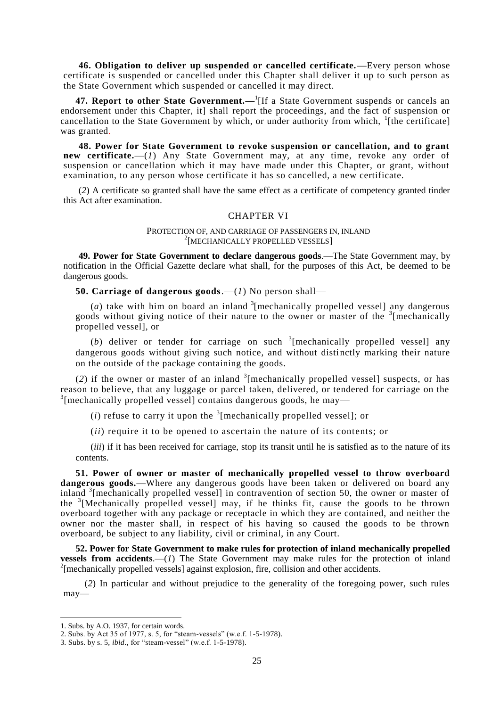**46. Obligation to deliver up suspended or cancelled certificate.—**Every person whose certificate is suspended or cancelled under this Chapter shall deliver it up to such person as the State Government which suspended or cancelled it may direct.

**47. Report to other State Government.**—<sup>1</sup> [If a State Government suspends or cancels an endorsement under this Chapter, it] shall report the proceedings, and the fact of suspension or cancellation to the State Government by which, or under authority from which, <sup>1</sup>[the certificate] was granted.

**48. Power for State Government to revoke suspension or cancellation, and to grant new certificate.**—(*1*) Any State Government may, at any time, revoke any order of suspension or cancellation which it may have made under this Chapter, or grant, without examination, to any person whose certificate it has so cancelled, a new certificate.

(*2*) A certificate so granted shall have the same effect as a certificate of competency granted tinder this Act after examination.

#### CHAPTER VI

#### PROTECTION OF, AND CARRIAGE OF PASSENGERS IN, INLAND 2 [MECHANICALLY PROPELLED VESSELS]

**49. Power for State Government to declare dangerous goods**.—The State Government may, by notification in the Official Gazette declare what shall, for the purposes of this Act, be deemed to be dangerous goods.

**50. Carriage of dangerous goods**.—(*1*) No person shall—

(*a*) take with him on board an inland  $\frac{3}{2}$  [mechanically propelled vessel] any dangerous goods without giving notice of their nature to the owner or master of the  $\frac{3}{2}$  [mechanically propelled vessel], or

(b) deliver or tender for carriage on such  $\frac{3}{2}$  [mechanically propelled vessel] any dangerous goods without giving such notice, and without distinctly marking their nature on the outside of the package containing the goods.

 $(2)$  if the owner or master of an inland <sup>3</sup>[mechanically propelled vessel] suspects, or has reason to believe, that any luggage or parcel taken, delivered, or tendered for carriage on the <sup>3</sup>[mechanically propelled vessel] contains dangerous goods, he may—

 $(i)$  refuse to carry it upon the <sup>3</sup>[mechanically propelled vessel]; or

(*ii*) require it to be opened to ascertain the nature of its contents; or

(*iii*) if it has been received for carriage, stop its transit until he is satisfied as to the nature of its contents.

**51. Power of owner or master of mechanically propelled vessel to throw overboard**  dangerous goods.—Where any dangerous goods have been taken or delivered on board any inland <sup>3</sup>[mechanically propelled vessel] in contravention of section 50, the owner or master of the <sup>3</sup> [Mechanically propelled vessel] may, if he thinks fit, cause the goods to be thrown overboard together with any package or receptacle in which they ar e contained, and neither the owner nor the master shall, in respect of his having so caused the goods to be thrown overboard, be subject to any liability, civil or criminal, in any Court.

**52. Power for State Government to make rules for protection of inland mechanically propelled vessels from accidents**.—(*1*) The State Government may make rules for the protection of inland <sup>2</sup>[mechanically propelled vessels] against explosion, fire, collision and other accidents.

(*2*) In particular and without prejudice to the generality of the foregoing power, such rules may—

<sup>1.</sup> Subs. by A.O. 1937, for certain words.

<sup>2.</sup> Subs. by Act 35 of 1977, s. 5, for "steam-vessels" (w.e.f. 1-5-1978).

<sup>3.</sup> Subs. by s. 5, *ibid*., for "steam-vessel" (w.e.f. 1-5-1978).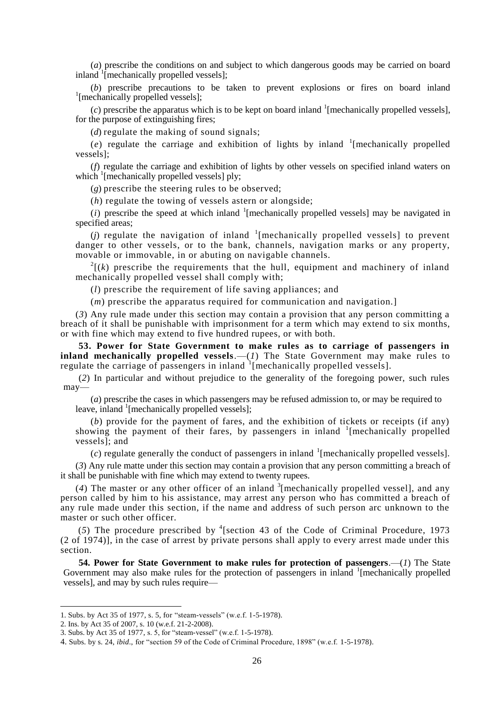(*a*) prescribe the conditions on and subject to which dangerous goods may be carried on board inland <sup>1</sup>[mechanically propelled vessels];

(*b*) prescribe precautions to be taken to prevent explosions or fires on board inland <sup>1</sup>[mechanically propelled vessels];

 $(c)$  prescribe the apparatus which is to be kept on board inland <sup>1</sup>[mechanically propelled vessels], for the purpose of extinguishing fires;

(*d*) regulate the making of sound signals;

 $(e)$  regulate the carriage and exhibition of lights by inland  $\frac{1}{2}$  [mechanically propelled vessels];

(*f*) regulate the carriage and exhibition of lights by other vessels on specified inland waters on which <sup>1</sup>[mechanically propelled vessels] ply;

(*g*) prescribe the steering rules to be observed;

(*h*) regulate the towing of vessels astern or alongside;

 $(i)$  prescribe the speed at which inland <sup>1</sup>[mechanically propelled vessels] may be navigated in specified areas;

 $(j)$  regulate the navigation of inland  $1$ [mechanically propelled vessels] to prevent danger to other vessels, or to the bank, channels, navigation marks or any property, movable or immovable, in or abuting on navigable channels.

 $2^{2}$ [(k) prescribe the requirements that the hull, equipment and machinery of inland mechanically propelled vessel shall comply with;

(*l*) prescribe the requirement of life saving appliances; and

(*m*) prescribe the apparatus required for communication and navigation.]

(*3*) Any rule made under this section may contain a provision that any person committing a breach of it shall be punishable with imprisonment for a term which may extend to six months, or with fine which may extend to five hundred rupees, or with both.

**53. Power for State Government to make rules as to carriage of passengers in inland mechanically propelled vessels.**—(*1*) The State Government may make rules to regulate the carriage of passengers in inland  $1$  [mechanically propelled vessels].

(*2*) In particular and without prejudice to the generality of the foregoing power, such rules may—

(*a*) prescribe the cases in which passengers may be refused admission to, or may be required to leave, inland <sup>1</sup>[mechanically propelled vessels];

(*b*) provide for the payment of fares, and the exhibition of tickets or receipts (if any) showing the payment of their fares, by passengers in inland  $\frac{1}{2}$  [mechanically propelled vessels]; and

 $(c)$  regulate generally the conduct of passengers in inland <sup>1</sup>[mechanically propelled vessels].

(*3*) Any rule matte under this section may contain a provision that any person committing a breach of it shall be punishable with fine which may extend to twenty rupees.

(4) The master or any other officer of an inland  $\frac{3}{2}$  [mechanically propelled vessel], and any person called by him to his assistance, may arrest any person who has committed a breach of any rule made under this section, if the name and address of such person arc unknown to the master or such other officer.

(5) The procedure prescribed by  $\textsuperscript{4}$  [section 43 of the Code of Criminal Procedure, 1973 (2 of 1974)], in the case of arrest by private persons shall apply to every arrest made under this section.

**54. Power for State Government to make rules for protection of passengers**.—(*1*) The State Government may also make rules for the protection of passengers in inland <sup>1</sup>[mechanically propelled vessels], and may by such rules require—

<sup>1.</sup> Subs. by Act 35 of 1977, s. 5, for "steam-vessels" (w.e.f. 1-5-1978).

<sup>2.</sup> Ins. by Act 35 of 2007, s. 10 (w.e.f. 21-2-2008).

<sup>3.</sup> Subs. by Act 35 of 1977, s. 5, for "steam-vessel" (w.e.f. 1-5-1978).

<sup>4.</sup> Subs. by s. 24, *ibid*., for "section 59 of the Code of Criminal Procedure, 1898" (w.e.f. 1-5-1978).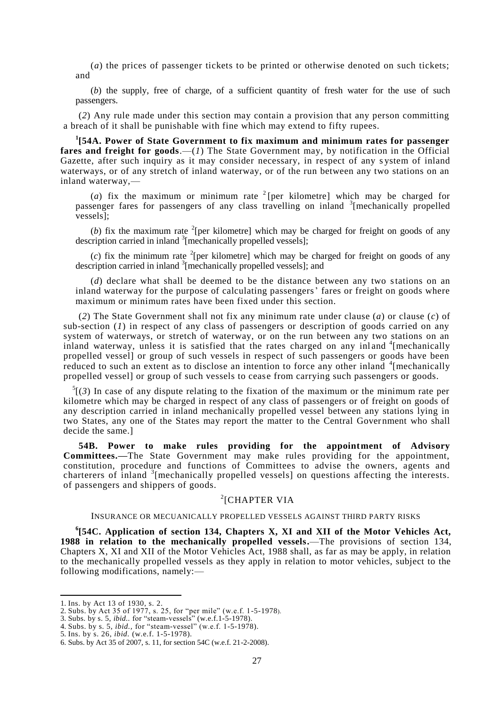(*a*) the prices of passenger tickets to be printed or otherwise denoted on such tickets; and

(*b*) the supply, free of charge, of a sufficient quantity of fresh water for the use of such passengers.

(*2*) Any rule made under this section may contain a provision that any person committing a breach of it shall be punishable with fine which may extend to fifty rupees.

**1 [54A. Power of State Government to fix maximum and minimum rates for passenger fares and freight for goods**.—(*1*) The State Government may, by notification in the Official Gazette, after such inquiry as it may consider necessary, in respect of any s ystem of inland waterways, or of any stretch of inland waterway, or of the run between any two stations on an inland waterway,—

(*a*) fix the maximum or minimum rate <sup>2</sup> [per kilometre] which may be charged for passenger fares for passengers of any class travelling on inland <sup>3</sup>[mechanically propelled vessels];

(*b*) fix the maximum rate <sup>2</sup>[per kilometre] which may be charged for freight on goods of any description carried in inland <sup>3</sup>[mechanically propelled vessels];

 $(c)$  fix the minimum rate <sup>2</sup>[per kilometre] which may be charged for freight on goods of any description carried in inland <sup>3</sup> [mechanically propelled vessels]; and

(*d*) declare what shall be deemed to be the distance between any two stations on an inland waterway for the purpose of calculating passengers' fares or freight on goods where maximum or minimum rates have been fixed under this section.

(*2*) The State Government shall not fix any minimum rate under clause (*a*) or clause (*c*) of sub-section (*1*) in respect of any class of passengers or description of goods carried on any system of waterways, or stretch of waterway, or on the run between any two stations on an inland waterway, unless it is satisfied that the rates charged on any inland <sup>4</sup>[mechanically propelled vessel] or group of such vessels in respect of such passengers or goods have been reduced to such an extent as to disclose an intention to force any other inland <sup>4</sup> [mechanically propelled vessel] or group of such vessels to cease from carrying such passengers or goods.

 $<sup>5</sup>$ [(3) In case of any dispute relating to the fixation of the maximum or the minimum rate per</sup> kilometre which may be charged in respect of any class of passengers or of freight on goods of any description carried in inland mechanically propelled vessel between any stations lying in two States, any one of the States may report the matter to the Central Government who shall decide the same.]

**54B. Power to make rules providing for the appointment of Advisory Committees.—**The State Government may make rules providing for the appointment, constitution, procedure and functions of Committees to advise the owners, agents and charterers of inland  $3$ [mechanically propelled vessels] on questions affecting the interests. of passengers and shippers of goods.

# 2 [CHAPTER VIA

#### INSURANCE OR MECUANICALLY PROPELLED VESSELS AGAINST THIRD PARTY RISKS

**6 [54C. Application of section 134, Chapters X, XI and XII of the Motor Vehicles Act, 1988 in relation to the mechanically propelled vessels.**—The provisions of section 134, Chapters X, XI and XII of the Motor Vehicles Act, 1988 shall, as far as may be apply, in relation to the mechanically propelled vessels as they apply in relation to motor vehicles, subject to the following modifications, namely:—

<sup>1.</sup> Ins. by Act 13 of 1930, s. 2.

<sup>2.</sup> Subs. by Act 35 of 1977, s. 25, for "per mile" (w.e.f. 1-5-1978).

<sup>3.</sup> Subs. by s. 5, *ibid..* for "steam-vessels" (w.e.f.1-5-1978).

<sup>4.</sup> Subs. by s. 5, *ibid.,* for "steam-vessel" (w.e.f. 1-5-1978).

<sup>5.</sup> Ins. by s. 26, *ibid.* (w.e.f. 1-5-1978).

<sup>6.</sup> Subs. by Act 35 of 2007, s. 11, for section 54C (w.e.f. 21-2-2008).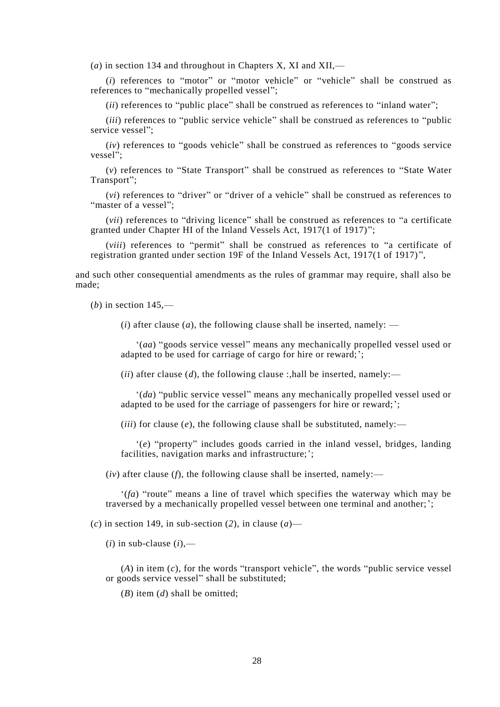(*a*) in section 134 and throughout in Chapters X, XI and XII,—

(*i*) references to "motor" or "motor vehicle" or "vehicle" shall be construed as references to "mechanically propelled vessel";

(*ii*) references to "public place" shall be construed as references to "inland water";

(*iii*) references to "public service vehicle" shall be construed as references to "public service vessel":

(*iv*) references to "goods vehicle" shall be construed as references to "goods service vessel";

(*v*) references to "State Transport" shall be construed as references to "State Water Transport";

(*vi*) references to "driver" or "driver of a vehicle" shall be construed as references to "master of a vessel":

(*vii*) references to "driving licence" shall be construed as references to "a certificate granted under Chapter HI of the Inland Vessels Act, 1917(1 of 1917)";

(*viii*) references to "permit" shall be construed as references to "a certificate of registration granted under section 19F of the Inland Vessels Act, 1917(1 of 1917) ",

and such other consequential amendments as the rules of grammar may require, shall also be made;

(*b*) in section 145,—

 $(i)$  after clause  $(a)$ , the following clause shall be inserted, namely: —

"(*aa*) "goods service vessel" means any mechanically propelled vessel used or adapted to be used for carriage of cargo for hire or reward;';

(*ii*) after clause (*d*), the following clause :,hall be inserted, namely:—

"(*da*) "public service vessel" means any mechanically propelled vessel used or adapted to be used for the carriage of passengers for hire or reward;";

(*iii*) for clause (*e*), the following clause shall be substituted, namely:—

"(*e*) "property" includes goods carried in the inland vessel, bridges, landing facilities, navigation marks and infrastructure;';

 $(iv)$  after clause (*f*), the following clause shall be inserted, namely:—

"(*fa*) "route" means a line of travel which specifies the waterway which may be traversed by a mechanically propelled vessel between one terminal and another;";

(*c*) in section 149, in sub-section (*2*), in clause (*a*)—

 $(i)$  in sub-clause  $(i)$ ,—

(*A*) in item (*c*), for the words "transport vehicle", the words "public service vessel or goods service vessel" shall be substituted;

(*B*) item (*d*) shall be omitted;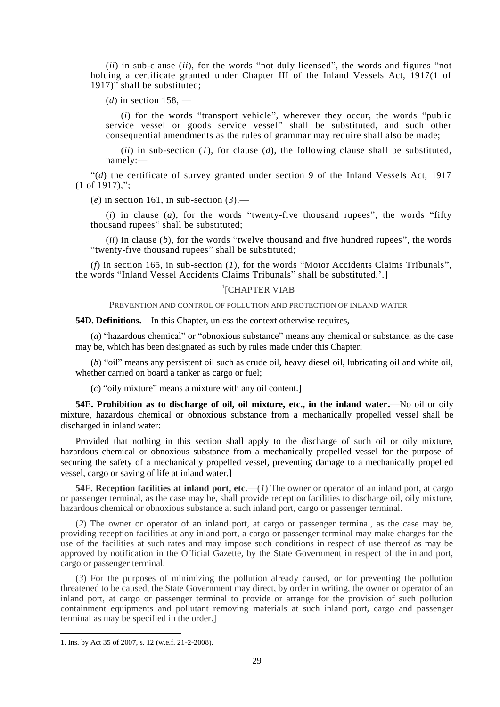(*ii*) in sub-clause (*ii*), for the words "not duly licensed", the words and figures "not holding a certificate granted under Chapter III of the Inland Vessels Act, 1917(1 of 1917)" shall be substituted;

(*d*) in section 158, —

(*i*) for the words "transport vehicle", wherever they occur, the words "public service vessel or goods service vessel" shall be substituted, and such other consequential amendments as the rules of grammar may require shall also be made;

(*ii*) in sub-section (*1*), for clause (*d*), the following clause shall be substituted, namely:—

"(*d*) the certificate of survey granted under section 9 of the Inland Vessels Act, 1917 (1 of 1917),";

(*e*) in section 161, in sub-section (*3*),—

(*i*) in clause (*a*), for the words "twenty-five thousand rupees", the words "fifty thousand rupees" shall be substituted;

(*ii*) in clause (*b*), for the words "twelve thousand and five hundred rupees", the words "twenty-five thousand rupees" shall be substituted;

(*f*) in section 165, in sub-section (*1*), for the words "Motor Accidents Claims Tribunals", the words "Inland Vessel Accidents Claims Tribunals" shall be substituted.".]

# <sup>1</sup>[CHAPTER VIAB

PREVENTION AND CONTROL OF POLLUTION AND PROTECTION OF INLAND WATER

**54D. Definitions.**—In this Chapter, unless the context otherwise requires,—

(*a*) "hazardous chemical" or "obnoxious substance" means any chemical or substance, as the case may be, which has been designated as such by rules made under this Chapter;

(*b*) "oil" means any persistent oil such as crude oil, heavy diesel oil, lubricating oil and white oil, whether carried on board a tanker as cargo or fuel;

(*c*) "oily mixture" means a mixture with any oil content.]

**54E. Prohibition as to discharge of oil, oil mixture, etc., in the inland water.**—No oil or oily mixture, hazardous chemical or obnoxious substance from a mechanically propelled vessel shall be discharged in inland water:

Provided that nothing in this section shall apply to the discharge of such oil or oily mixture, hazardous chemical or obnoxious substance from a mechanically propelled vessel for the purpose of securing the safety of a mechanically propelled vessel, preventing damage to a mechanically propelled vessel, cargo or saving of life at inland water.]

**54F. Reception facilities at inland port, etc.**—(*1*) The owner or operator of an inland port, at cargo or passenger terminal, as the case may be, shall provide reception facilities to discharge oil, oily mixture, hazardous chemical or obnoxious substance at such inland port, cargo or passenger terminal.

(*2*) The owner or operator of an inland port, at cargo or passenger terminal, as the case may be, providing reception facilities at any inland port, a cargo or passenger terminal may make charges for the use of the facilities at such rates and may impose such conditions in respect of use thereof as may be approved by notification in the Official Gazette, by the State Government in respect of the inland port, cargo or passenger terminal.

(*3*) For the purposes of minimizing the pollution already caused, or for preventing the pollution threatened to be caused, the State Government may direct, by order in writing, the owner or operator of an inland port, at cargo or passenger terminal to provide or arrange for the provision of such pollution containment equipments and pollutant removing materials at such inland port, cargo and passenger terminal as may be specified in the order.]

<sup>1.</sup> Ins. by Act 35 of 2007, s. 12 (w.e.f. 21-2-2008).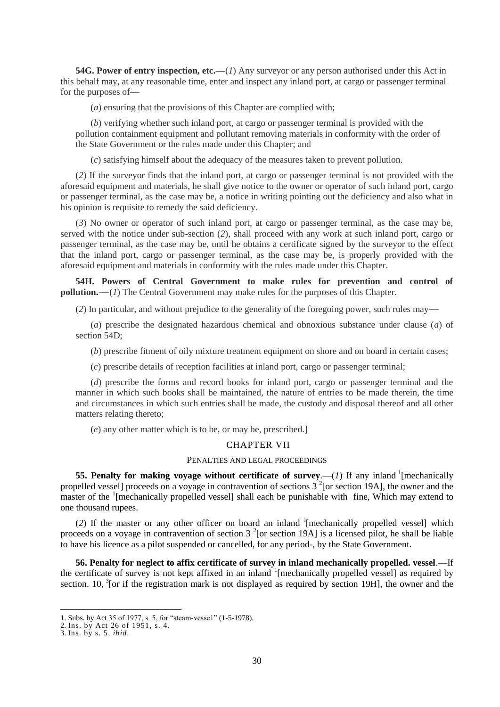**54G. Power of entry inspection, etc.**—(*1*) Any surveyor or any person authorised under this Act in this behalf may, at any reasonable time, enter and inspect any inland port, at cargo or passenger terminal for the purposes of—

(*a*) ensuring that the provisions of this Chapter are complied with;

(*b*) verifying whether such inland port, at cargo or passenger terminal is provided with the pollution containment equipment and pollutant removing materials in conformity with the order of the State Government or the rules made under this Chapter; and

(*c*) satisfying himself about the adequacy of the measures taken to prevent pollution.

(*2*) If the surveyor finds that the inland port, at cargo or passenger terminal is not provided with the aforesaid equipment and materials, he shall give notice to the owner or operator of such inland port, cargo or passenger terminal, as the case may be, a notice in writing pointing out the deficiency and also what in his opinion is requisite to remedy the said deficiency.

(*3*) No owner or operator of such inland port, at cargo or passenger terminal, as the case may be, served with the notice under sub-section (*2*), shall proceed with any work at such inland port, cargo or passenger terminal, as the case may be, until he obtains a certificate signed by the surveyor to the effect that the inland port, cargo or passenger terminal, as the case may be, is properly provided with the aforesaid equipment and materials in conformity with the rules made under this Chapter.

**54H. Powers of Central Government to make rules for prevention and control of pollution.**—(*1*) The Central Government may make rules for the purposes of this Chapter.

(*2*) In particular, and without prejudice to the generality of the foregoing power, such rules may—

(*a*) prescribe the designated hazardous chemical and obnoxious substance under clause (*a*) of section 54D;

(*b*) prescribe fitment of oily mixture treatment equipment on shore and on board in certain cases;

(*c*) prescribe details of reception facilities at inland port, cargo or passenger terminal;

(*d*) prescribe the forms and record books for inland port, cargo or passenger terminal and the manner in which such books shall be maintained, the nature of entries to be made therein, the time and circumstances in which such entries shall be made, the custody and disposal thereof and all other matters relating thereto;

(*e*) any other matter which is to be, or may be, prescribed.]

### CHAPTER VII

#### PENALTIES AND LEGAL PROCEEDINGS

**55. Penalty for making voyage without certificate of survey.—** $(I)$  **If any inland <sup>1</sup> [mechanically** propelled vessel] proceeds on a voyage in contravention of sections  $3<sup>2</sup>$  [or section 19A], the owner and the master of the <sup>1</sup>[mechanically propelled vessel] shall each be punishable with fine, Which may extend to one thousand rupees.

(2) If the master or any other officer on board an inland  $\frac{1}{2}$  [mechanically propelled vessel] which proceeds on a voyage in contravention of section  $3<sup>2</sup>$  [or section 19A] is a licensed pilot, he shall be liable to have his licence as a pilot suspended or cancelled, for any period-, by the State Government.

**56. Penalty for neglect to affix certificate of survey in inland mechanically propelled. vessel**.—If the certificate of survey is not kept affixed in an inland <sup>1</sup>[mechanically propelled vessel] as required by section. 10, <sup>3</sup>[or if the registration mark is not displayed as required by section 19H], the owner and the

<sup>1.</sup> Subs. by Act 35 of 1977, s. 5, for "steam-vesse1" (1-5-1978).

<sup>2.</sup> Ins. by Act 26 of 1951, s. 4.

<sup>3.</sup> Ins. by s. 5, *ibid.*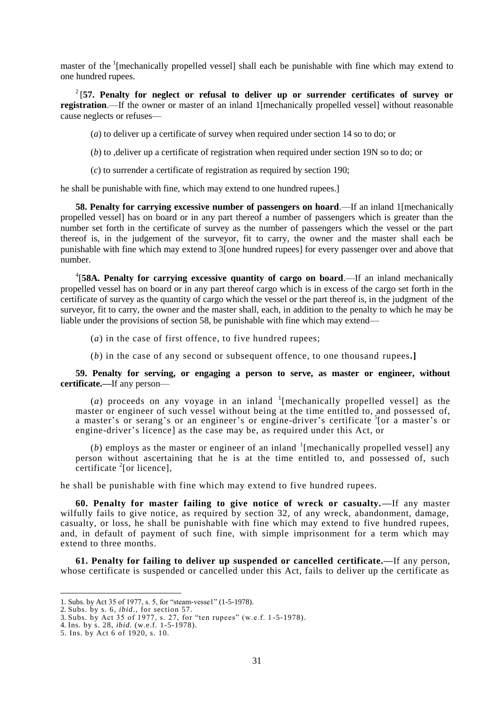master of the <sup>1</sup>[mechanically propelled vessel] shall each be punishable with fine which may extend to one hundred rupees.

2 [**57. Penalty for neglect or refusal to deliver up or surrender certificates of survey or registration**.—If the owner or master of an inland 1[mechanically propelled vessel] without reasonable cause neglects or refuses—

(*a*) to deliver up a certificate of survey when required under section 14 so to do; or

(*b*) to ,deliver up a certificate of registration when required under section 19N so to do; or

(*c*) to surrender a certificate of registration as required by section 190;

he shall be punishable with fine, which may extend to one hundred rupees.]

**58. Penalty for carrying excessive number of passengers on hoard**.—If an inland 1[mechanically propelled vessel] has on board or in any part thereof a number of passengers which is greater than the number set forth in the certificate of survey as the number of passengers which the vessel or the part thereof is, in the judgement of the surveyor, fit to carry, the owner and the master shall each be punishable with fine which may extend to 3[one hundred rupees] for every passenger over and above that number.

4 [**58A. Penalty for carrying excessive quantity of cargo on board**.—If an inland mechanically propelled vessel has on board or in any part thereof cargo which is in excess of the cargo set forth in the certificate of survey as the quantity of cargo which the vessel or the part thereof is, in the judgment of the surveyor, fit to carry, the owner and the master shall, each, in addition to the penalty to which he may be liable under the provisions of section 58, be punishable with fine which may extend—

(*a*) in the case of first offence, to five hundred rupees;

(*b*) in the case of any second or subsequent offence, to one thousand rupees**.]**

### **59. Penalty for serving, or engaging a person to serve, as master or engineer, without certificate.—**If any person—

(*a*) proceeds on any voyage in an inland  $\frac{1}{2}$  [mechanically propelled vessel] as the master or engineer of such vessel without being at the time entitled to, and possessed of, a master's or serang's or an engineer's or engine-driver's certificate <sup>5</sup>[or a master's or engine-driver"s licence] as the case may be, as required under this Act, or

 $(b)$  employs as the master or engineer of an inland  $\frac{1}{2}$  [mechanically propelled vessel] any person without ascertaining that he is at the time entitled to, and possessed of, such certificate  $2$ [or licence],

he shall be punishable with fine which may extend to five hundred rupees.

**60. Penalty for master failing to give notice of wreck or casualty.—**If any master wilfully fails to give notice, as required by section 32, of any wreck, abandonment, damage, casualty, or loss, he shall be punishable with fine which may extend to five hundred rupees, and, in default of payment of such fine, with simple imprisonment for a term which may extend to three months.

**61. Penalty for failing to deliver up suspended or cancelled certificate.—**If any person, whose certificate is suspended or cancelled under this Act, fails to deliver up the certificate as

<sup>1.</sup> Subs. by Act 35 of 1977, s. 5, for "steam-vesse1" (1-5-1978).

<sup>2.</sup> Subs. by s. 6, *ibid.,* for section 57.

<sup>3.</sup> Subs. by Act 35 of 1977, s. 27, for "ten rupees" (w.e.f. 1 -5-1978).

<sup>4.</sup> Ins. by s. 28, *ibid.* (w.e.f. 1-5-1978).

<sup>5.</sup> Ins. by Act 6 of 1920, s. 10.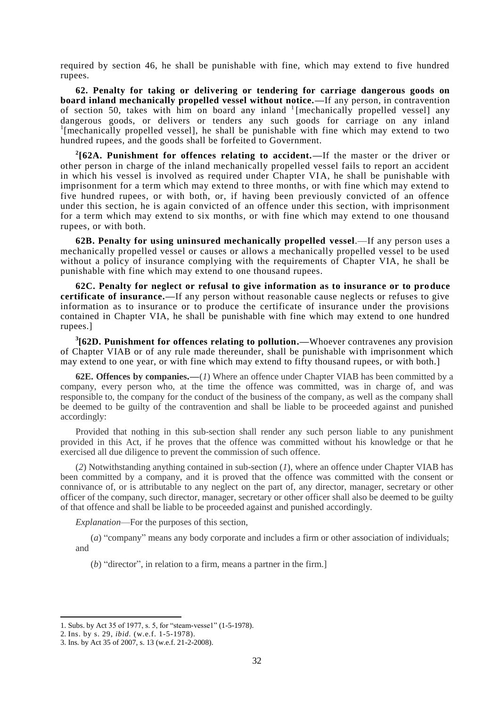required by section 46, he shall be punishable with fine, which may extend to five hundred rupees.

**62. Penalty for taking or delivering or tendering for carriage dangerous goods on board inland mechanically propelled vessel without notice.—**If any person, in contravention of section 50, takes with him on board any inland  $\frac{1}{2}$  [mechanically propelled vessel] any dangerous goods, or delivers or tenders any such goods for carriage on any inland <sup>1</sup>[mechanically propelled vessel], he shall be punishable with fine which may extend to two hundred rupees, and the goods shall be forfeited to Government.

**2 [62A. Punishment for offences relating to accident.—**If the master or the driver or other person in charge of the inland mechanically propelled vessel fails to report an accident in which his vessel is involved as required under Chapter VIA, he shall be punishable with imprisonment for a term which may extend to three months, or with fine which may extend to five hundred rupees, or with both, or, if having been previously convicted of an offence under this section, he is again convicted of an offence under this section, with imprisonment for a term which may extend to six months, or with fine which may extend to one thousand rupees, or with both.

**62B. Penalty for using uninsured mechanically propelled vessel**.—If any person uses a mechanically propelled vessel or causes or allows a mechanically propelled vessel to be used without a policy of insurance complying with the requirements of Chapter VIA, he shall be punishable with fine which may extend to one thousand rupees.

**62C. Penalty for neglect or refusal to give information as to insurance or to produce certificate of insurance.—**If any person without reasonable cause neglects or refuses to give information as to insurance or to produce the certificate of insurance under the provisions contained in Chapter VIA, he shall be punishable with fine which may extend to one hundred rupees.]

**3 [62D. Punishment for offences relating to pollution.—**Whoever contravenes any provision of Chapter VIAB or of any rule made thereunder, shall be punishable with imprisonment which may extend to one year, or with fine which may extend to fifty thousand rupees, or with both.]

**62E. Offences by companies.—**(*1*) Where an offence under Chapter VIAB has been committed by a company, every person who, at the time the offence was committed, was in charge of, and was responsible to, the company for the conduct of the business of the company, as well as the company shall be deemed to be guilty of the contravention and shall be liable to be proceeded against and punished accordingly:

Provided that nothing in this sub-section shall render any such person liable to any punishment provided in this Act, if he proves that the offence was committed without his knowledge or that he exercised all due diligence to prevent the commission of such offence.

(*2*) Notwithstanding anything contained in sub-section (*1*), where an offence under Chapter VIAB has been committed by a company, and it is proved that the offence was committed with the consent or connivance of, or is attributable to any neglect on the part of, any director, manager, secretary or other officer of the company, such director, manager, secretary or other officer shall also be deemed to be guilty of that offence and shall be liable to be proceeded against and punished accordingly.

*Explanation*—For the purposes of this section,

(*a*) "company" means any body corporate and includes a firm or other association of individuals; and

(*b*) "director", in relation to a firm, means a partner in the firm.]

<sup>1.</sup> Subs. by Act 35 of 1977, s. 5, for "steam-vesse1" (1-5-1978).

<sup>2.</sup> Ins. by s. 29, *ibid.* (w.e.f. 1-5-1978).

<sup>3.</sup> Ins. by Act 35 of 2007, s. 13 (w.e.f. 21-2-2008).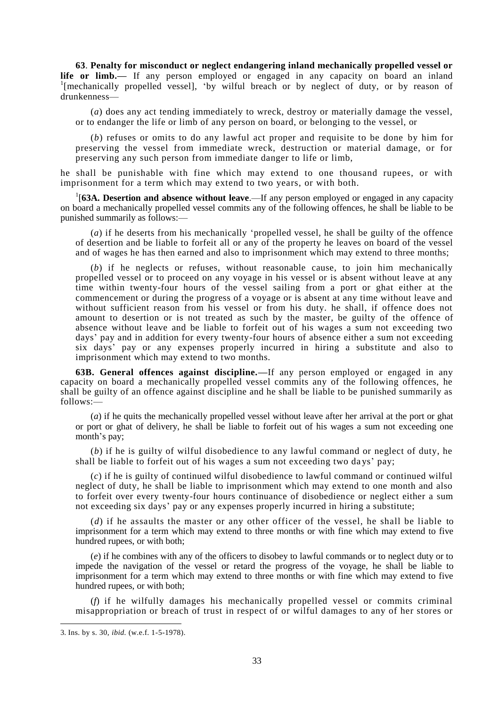**63**. **Penalty for misconduct or neglect endangering inland mechanically propelled vessel or life or limb.—** If any person employed or engaged in any capacity on board an inland <sup>1</sup>[mechanically propelled vessel], 'by wilful breach or by neglect of duty, or by reason of drunkenness—

(*a*) does any act tending immediately to wreck, destroy or materially damage the vessel, or to endanger the life or limb of any person on board, or belonging to the vessel, or

(*b*) refuses or omits to do any lawful act proper and requisite to be done by him for preserving the vessel from immediate wreck, destruction or material damage, or for preserving any such person from immediate danger to life or limb,

he shall be punishable with fine which may extend to one thousand rupees, or with imprisonment for a term which may extend to two years, or with both.

<sup>1</sup>[63A. Desertion and absence without leave.—If any person employed or engaged in any capacity on board a mechanically propelled vessel commits any of the following offences, he shall be liable to be punished summarily as follows:—

(*a*) if he deserts from his mechanically "propelled vessel, he shall be guilty of the offence of desertion and be liable to forfeit all or any of the property he leaves on board of the vessel and of wages he has then earned and also to imprisonment which may extend to three months;

(*b*) if he neglects or refuses, without reasonable cause, to join him mechanically propelled vessel or to proceed on any voyage in his vessel or is absent without leave at any time within twenty-four hours of the vessel sailing from a port or ghat either at the commencement or during the progress of a voyage or is absent at any time without leave and without sufficient reason from his vessel or from his duty. he shall, if offence does not amount to desertion or is not treated as such by the master, be guilty of the offence of absence without leave and be liable to forfeit out of his wages a sum not exceeding two days" pay and in addition for every twenty-four hours of absence either a sum not exceeding six days" pay or any expenses properly incurred in hiring a substitute and also to imprisonment which may extend to two months.

**63B. General offences against discipline.—**If any person employed or engaged in any capacity on board a mechanically propelled vessel commits any of the following offences, he shall be guilty of an offence against discipline and he shall be liable to be punished summarily as  $follows:$ 

(*a*) if he quits the mechanically propelled vessel without leave after her arrival at the port or ghat or port or ghat of delivery, he shall be liable to forfeit out of his wages a sum not exceeding one month's pay;

(*b*) if he is guilty of wilful disobedience to any lawful command or neglect of duty, he shall be liable to forfeit out of his wages a sum not exceeding two days' pay;

(*c*) if he is guilty of continued wilful disobedience to lawful command or continued wilful neglect of duty, he shall be liable to imprisonment which may extend to one month and also to forfeit over every twenty-four hours continuance of disobedience or neglect either a sum not exceeding six days" pay or any expenses properly incurred in hiring a substitute;

(*d*) if he assaults the master or any other officer of the vessel, he shall be liable to imprisonment for a term which may extend to three months or with fine which may extend to five hundred rupees, or with both;

(*e*) if he combines with any of the officers to disobey to lawful commands or to neglect duty or to impede the navigation of the vessel or retard the progress of the voyage, he shall be liable to imprisonment for a term which may extend to three months or with fine which may extend to five hundred rupees, or with both;

(*f*) if he wilfully damages his mechanically propelled vessel or commits criminal misappropriation or breach of trust in respect of or wilful damages to any of her stores or

<sup>3.</sup> Ins. by s. 30, *ibid.* (w.e.f. 1-5-1978).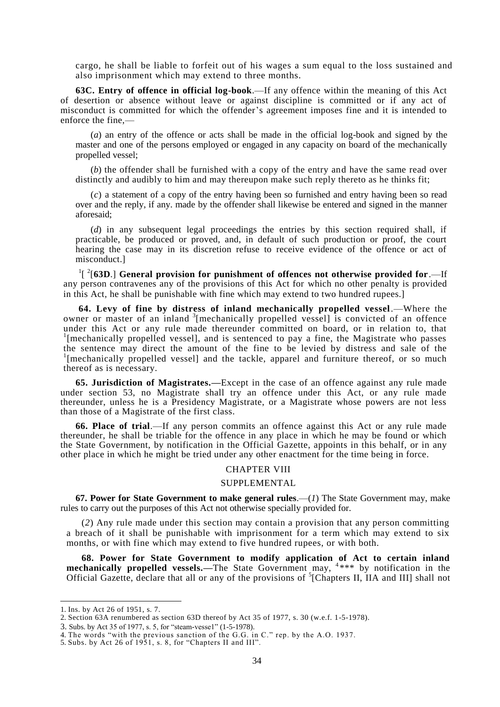cargo, he shall be liable to forfeit out of his wages a sum equal to the loss sustained and also imprisonment which may extend to three months.

**63C. Entry of offence in official log-book**.—If any offence within the meaning of this Act of desertion or absence without leave or against discipline is committed or if any act of misconduct is committed for which the offender"s agreement imposes fine and it is intended to enforce the fine,-

(*a*) an entry of the offence or acts shall be made in the official log-book and signed by the master and one of the persons employed or engaged in any capacity on board of the mechanically propelled vessel;

(*b*) the offender shall be furnished with a copy of the entry and have the same read over distinctly and audibly to him and may thereupon make such reply thereto as he thinks fit;

(*c*) a statement of a copy of the entry having been so furnished and entry having been so read over and the reply, if any. made by the offender shall likewise be entered and signed in the manner aforesaid;

(*d*) in any subsequent legal proceedings the entries by this section required shall, if practicable, be produced or proved, and, in default of such production or proof, the court hearing the case may in its discretion refuse to receive evidence of the offence or act of misconduct.]

<sup>1</sup>[<sup>2</sup>[63D.] General provision for punishment of offences not otherwise provided for.—If any person contravenes any of the provisions of this Act for which no other penalty is provided in this Act, he shall be punishable with fine which may extend to two hundred rupees.]

**64. Levy of fine by distress of inland mechanically propelled vessel**.—Where the owner or master of an inland <sup>3</sup>[mechanically propelled vessel] is convicted of an offence under this Act or any rule made thereunder committed on board, or in relation to, that <sup>1</sup>[mechanically propelled vessel], and is sentenced to pay a fine, the Magistrate who passes the sentence may direct the amount of the fine to be levied by distress and sale of the <sup>1</sup>[mechanically propelled vessel] and the tackle, apparel and furniture thereof, or so much thereof as is necessary.

**65. Jurisdiction of Magistrates.—**Except in the case of an offence against any rule made under section 53, no Magistrate shall try an offence under this Act, or any rule made thereunder, unless he is a Presidency Magistrate, or a Magistrate whose powers are not less than those of a Magistrate of the first class.

**66. Place of trial**.—If any person commits an offence against this Act or any rule made thereunder, he shall be triable for the offence in any place in which he may be found or which the State Government, by notification in the Official Gazette, appoints in this behalf, or in any other place in which he might be tried under any other enactment for the time being in force.

#### CHAPTER VIII

#### SUPPLEMENTAL

**67. Power for State Government to make general rules**.—(*1*) The State Government may, make rules to carry out the purposes of this Act not otherwise specially provided for.

(*2*) Any rule made under this section may contain a provision that any person committing a breach of it shall be punishable with imprisonment for a term which may extend to six months, or with fine which may extend to five hundred rupees, or with both.

**68. Power for State Government to modify application of Act to certain inland mechanically propelled vessels.**—The State Government may, <sup>4\*\*\*</sup> by notification in the Official Gazette, declare that all or any of the provisions of <sup>5</sup>[Chapters II, IIA and III] shall not

<sup>1.</sup> Ins. by Act 26 of 1951, s. 7.

<sup>2.</sup> Section 63A renumbered as section 63D thereof by Act 35 of 1977, s. 30 (w.e.f. 1-5-1978).

<sup>3.</sup> Subs. by Act 35 of 1977, s. 5, for "steam-vesse1" (1-5-1978).

<sup>4.</sup> The words "with the previous sanction of the G.G. in C." rep. by the A.O. 1937.

<sup>5.</sup> Subs. by Act 26 of 1951, s. 8, for "Chapters II and III".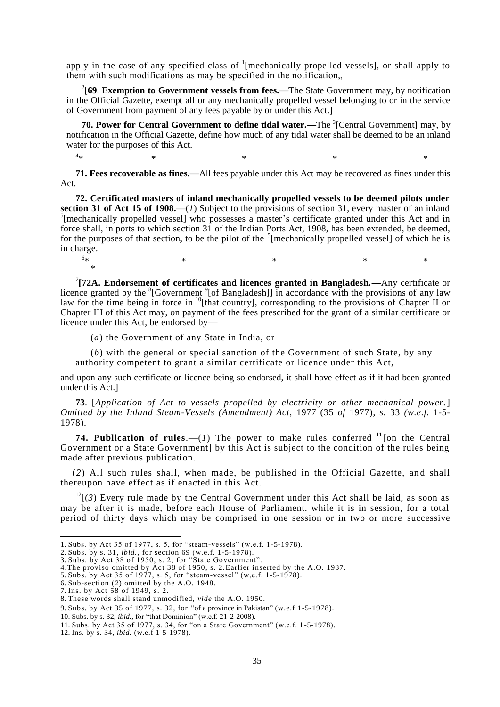apply in the case of any specified class of  $\frac{1}{2}$  [mechanically propelled vessels], or shall apply to them with such modifications as may be specified in the notification,

2 [**69**. **Exemption to Government vessels from fees.—**The State Government may, by notification in the Official Gazette, exempt all or any mechanically propelled vessel belonging to or in the service of Government from payment of any fees payable by or under this Act.]

**70. Power for Central Government to define tidal water.—The <sup>3</sup>[Central Government] may, by** notification in the Official Gazette, define how much of any tidal water shall be deemed to be an inland water for the purposes of this Act.

**71. Fees recoverable as fines.—**All fees payable under this Act may be recovered as fines under this Act.

 $*$   $*$   $*$   $*$   $*$   $*$ 

**72. Certificated masters of inland mechanically propelled vessels to be deemed pilots under section 31 of Act 15 of 1908.—**(*1*) Subject to the provisions of section 31, every master of an inland  $5$ [mechanically propelled vessel] who possesses a master's certificate granted under this Act and in force shall, in ports to which section 31 of the Indian Ports Act, 1908, has been extended, be deemed, for the purposes of that section, to be the pilot of the  $5$ [mechanically propelled vessel] of which he is in charge.  $6*$ 

 $\ast$   $\ast$   $\ast$   $\ast$   $\ast$   $\ast$ 

7 **[72A. Endorsement of certificates and licences granted in Bangladesh.—**Any certificate or licence granted by the  ${}^{8}$ [Government  ${}^{9}$ [of Bangladesh]] in accordance with the provisions of any law law for the time being in force in <sup>10</sup>[that country], corresponding to the provisions of Chapter II or Chapter III of this Act may, on payment of the fees prescribed for the grant of a similar certificate or licence under this Act, be endorsed by—

(*a*) the Government of any State in India, or

(*b*) with the general or special sanction of the Government of such State, by any authority competent to grant a similar certificate or licence under this Act,

and upon any such certificate or licence being so endorsed, it shall have effect as if it had been granted under this Act.]

**73**. [*Application of Act to vessels propelled by electricity or other mechanical power.*] *Omitted by the Inland Steam-Vessels (Amendment) Act,* 1977 (35 *of* 1977), *s.* 33 *(w.e.f.* 1-5- 1978).

**74. Publication of rules.**—(*1*) The power to make rules conferred  $\frac{11}{10}$  the Central Government or a State Government] by this Act is subject to the condition of the rules being made after previous publication.

(*2*) All such rules shall, when made, be published in the Official Gazette, an d shall thereupon have effect as if enacted in this Act.

 $12[(3)$  Every rule made by the Central Government under this Act shall be laid, as soon as may be after it is made, before each House of Parliament. while it is in session, for a total period of thirty days which may be comprised in one session or in two or more successive

1

 $4_{\star}$ 

\*

<sup>1.</sup> Subs. by Act 35 of 1977, s. 5, for "steam-vessels" (w.e.f. 1-5-1978).

<sup>2.</sup> Subs. by s. 31, *ibid.,* for section 69 (w.e.f. 1-5-1978).

<sup>3.</sup> Subs. by Act 38 of 1950, s. 2, for "State Government".

<sup>4.</sup>The proviso omitted by Act 38 of 1950, s. 2.Earlier inserted by the A.O. 1937.

<sup>5.</sup> Subs. by Act 35 of 1977, s. 5, for "steam-vessel" (w,e.f. 1-5-1978).

<sup>6.</sup> Sub-section (*2*) omitted by the A.O. 1948.

<sup>7.</sup> Ins. by Act 58 of 1949, s. 2.

<sup>8.</sup> These words shall stand unmodified, *vide* the A.O. 1950.

<sup>9.</sup> Subs. by Act 35 of 1977, s. 32, for "of a province in Pakistan" (w.e.f 1-5-1978).

<sup>10.</sup> Subs. by s. 32, *ibid.,* for "that Dominion" (w.e.f. 21-2-2008).

<sup>11.</sup> Subs. by Act 35 of 1977, s. 34, for "on a State Government" (w.e.f. 1-5-1978).

<sup>12.</sup> Ins. by s. 34, *ibid.* (w.e.f 1-5-1978).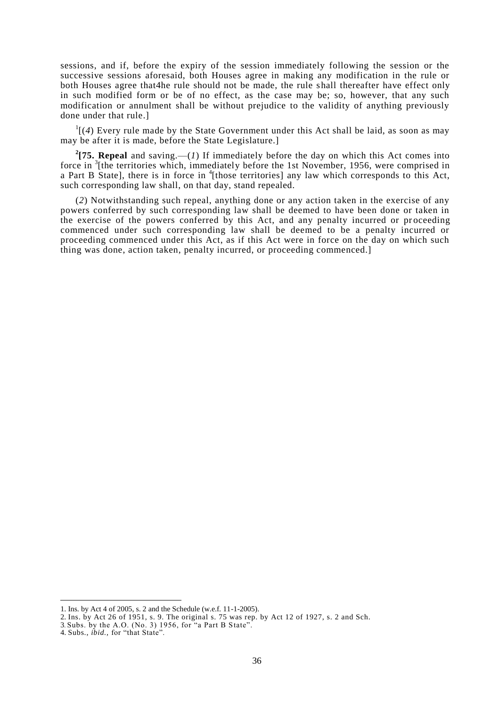sessions, and if, before the expiry of the session immediately following the session or the successive sessions aforesaid, both Houses agree in making any modification in the rule or both Houses agree that4he rule should not be made, the rule shall thereafter have effect only in such modified form or be of no effect, as the case may be; so, however, that any such modification or annulment shall be without prejudice to the validity of anything previously done under that rule.]

 $\frac{1}{4}$  Every rule made by the State Government under this Act shall be laid, as soon as may may be after it is made, before the State Legislature.]

<sup>2</sup>[75. Repeal and saving.—(*1*) If immediately before the day on which this Act comes into force in <sup>3</sup>[the territories which, immediately before the 1st November, 1956, were comprised in a Part B State], there is in force in <sup>4</sup>[those territories] any law which corresponds to this Act, such corresponding law shall, on that day, stand repealed.

(*2*) Notwithstanding such repeal, anything done or any action taken in the exercise of any powers conferred by such corresponding law shall be deemed to have been done or taken in the exercise of the powers conferred by this Act, and any penalty incurred or pr oceeding commenced under such corresponding law shall be deemed to be a penalty incurred or proceeding commenced under this Act, as if this Act were in force on the day on which such thing was done, action taken, penalty incurred, or proceeding commenced.]

<sup>1.</sup> Ins. by Act 4 of 2005, s. 2 and the Schedule (w.e.f. 11-1-2005).

<sup>2.</sup> Ins. by Act 26 of 1951, s. 9. The original s. 75 was rep. by Act 12 of 1927, s. 2 and Sch.

<sup>3</sup>. Subs. by the A.O. (No. 3) 1956, for "a Part B State".

<sup>4.</sup> Subs., *ibid.,* for "that State".